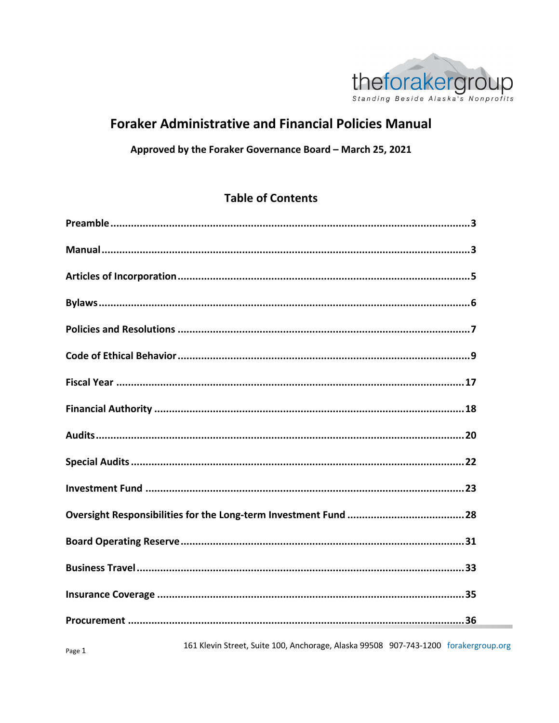

## **Foraker Administrative and Financial Policies Manual**

### Approved by the Foraker Governance Board - March 25, 2021

## **Table of Contents**

161 Klevin Street, Suite 100, Anchorage, Alaska 99508 907-743-1200 forakergroup.org

 $\sim$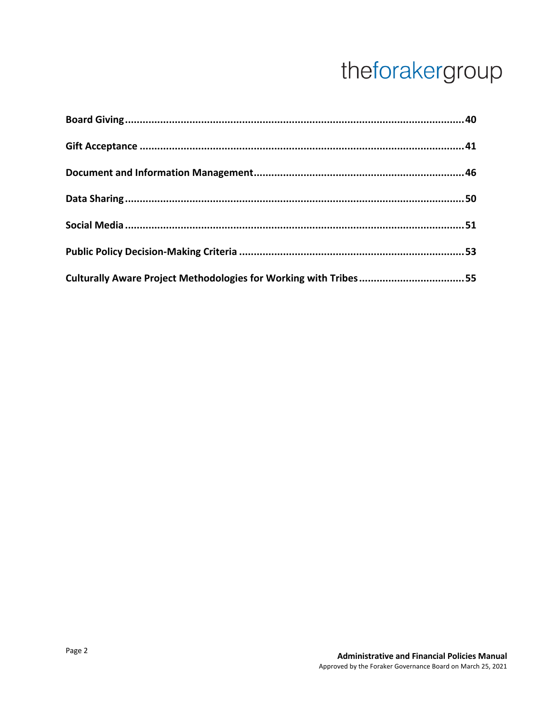| Culturally Aware Project Methodologies for Working with Tribes55 |  |
|------------------------------------------------------------------|--|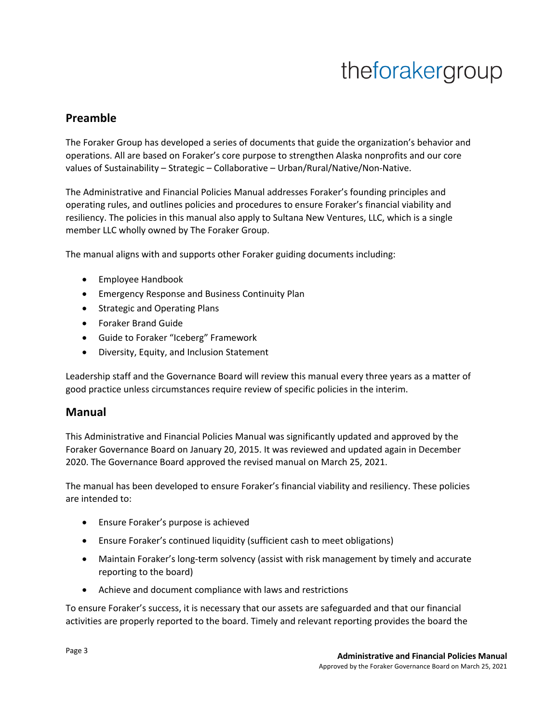## **Preamble**

The Foraker Group has developed a series of documents that guide the organization's behavior and operations. All are based on Foraker's core purpose to strengthen Alaska nonprofits and our core values of Sustainability – Strategic – Collaborative – Urban/Rural/Native/Non-Native.

The Administrative and Financial Policies Manual addresses Foraker's founding principles and operating rules, and outlines policies and procedures to ensure Foraker's financial viability and resiliency. The policies in this manual also apply to Sultana New Ventures, LLC, which is a single member LLC wholly owned by The Foraker Group.

The manual aligns with and supports other Foraker guiding documents including:

- Employee Handbook
- Emergency Response and Business Continuity Plan
- Strategic and Operating Plans
- Foraker Brand Guide
- Guide to Foraker "Iceberg" Framework
- Diversity, Equity, and Inclusion Statement

Leadership staff and the Governance Board will review this manual every three years as a matter of good practice unless circumstances require review of specific policies in the interim.

### **Manual**

This Administrative and Financial Policies Manual was significantly updated and approved by the Foraker Governance Board on January 20, 2015. It was reviewed and updated again in December 2020. The Governance Board approved the revised manual on March 25, 2021.

The manual has been developed to ensure Foraker's financial viability and resiliency. These policies are intended to:

- Ensure Foraker's purpose is achieved
- Ensure Foraker's continued liquidity (sufficient cash to meet obligations)
- Maintain Foraker's long-term solvency (assist with risk management by timely and accurate reporting to the board)
- Achieve and document compliance with laws and restrictions

To ensure Foraker's success, it is necessary that our assets are safeguarded and that our financial activities are properly reported to the board. Timely and relevant reporting provides the board the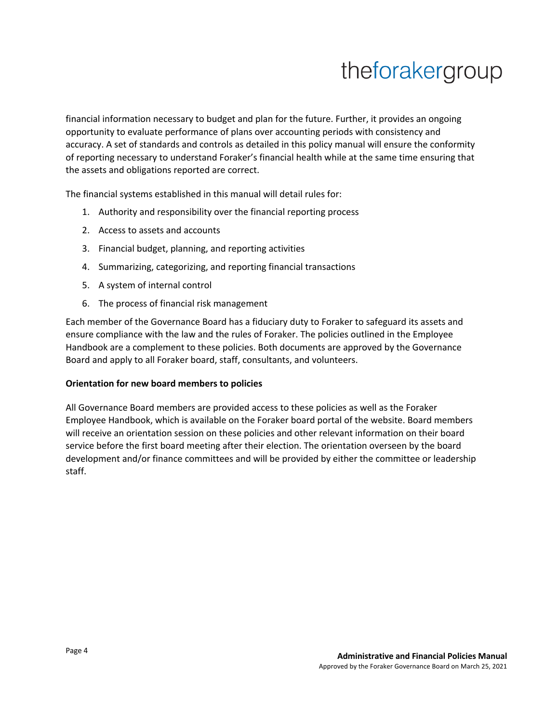financial information necessary to budget and plan for the future. Further, it provides an ongoing opportunity to evaluate performance of plans over accounting periods with consistency and accuracy. A set of standards and controls as detailed in this policy manual will ensure the conformity of reporting necessary to understand Foraker's financial health while at the same time ensuring that the assets and obligations reported are correct.

The financial systems established in this manual will detail rules for:

- 1. Authority and responsibility over the financial reporting process
- 2. Access to assets and accounts
- 3. Financial budget, planning, and reporting activities
- 4. Summarizing, categorizing, and reporting financial transactions
- 5. A system of internal control
- 6. The process of financial risk management

Each member of the Governance Board has a fiduciary duty to Foraker to safeguard its assets and ensure compliance with the law and the rules of Foraker. The policies outlined in the Employee Handbook are a complement to these policies. Both documents are approved by the Governance Board and apply to all Foraker board, staff, consultants, and volunteers.

#### **Orientation for new board members to policies**

All Governance Board members are provided access to these policies as well as the Foraker Employee Handbook, which is available on the Foraker board portal of the website. Board members will receive an orientation session on these policies and other relevant information on their board service before the first board meeting after their election. The orientation overseen by the board development and/or finance committees and will be provided by either the committee or leadership staff.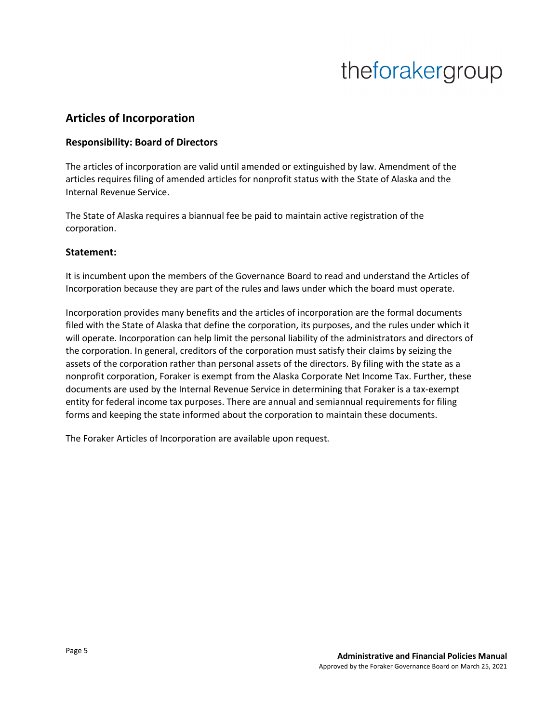## **Articles of Incorporation**

### **Responsibility: Board of Directors**

The articles of incorporation are valid until amended or extinguished by law. Amendment of the articles requires filing of amended articles for nonprofit status with the State of Alaska and the Internal Revenue Service.

The State of Alaska requires a biannual fee be paid to maintain active registration of the corporation.

#### **Statement:**

It is incumbent upon the members of the Governance Board to read and understand the Articles of Incorporation because they are part of the rules and laws under which the board must operate.

Incorporation provides many benefits and the articles of incorporation are the formal documents filed with the State of Alaska that define the corporation, its purposes, and the rules under which it will operate. Incorporation can help limit the personal liability of the administrators and directors of the corporation. In general, creditors of the corporation must satisfy their claims by seizing the assets of the corporation rather than personal assets of the directors. By filing with the state as a nonprofit corporation, Foraker is exempt from the Alaska Corporate Net Income Tax. Further, these documents are used by the Internal Revenue Service in determining that Foraker is a tax-exempt entity for federal income tax purposes. There are annual and semiannual requirements for filing forms and keeping the state informed about the corporation to maintain these documents.

The Foraker Articles of Incorporation are available upon request.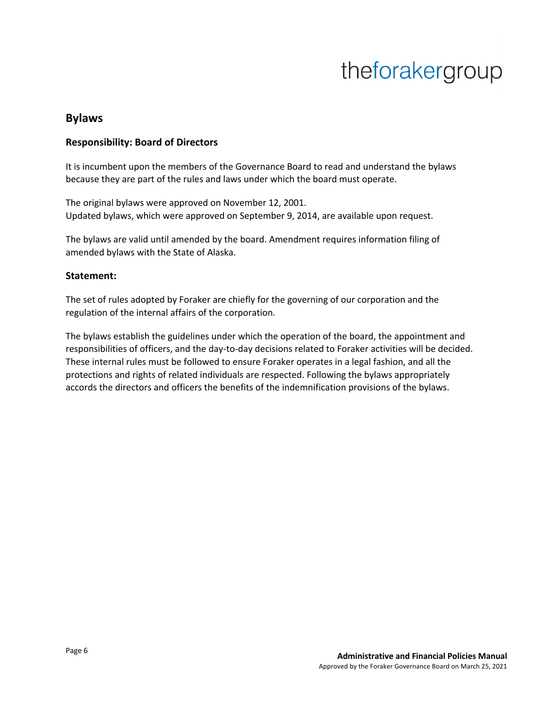### **Bylaws**

#### **Responsibility: Board of Directors**

It is incumbent upon the members of the Governance Board to read and understand the bylaws because they are part of the rules and laws under which the board must operate.

The original bylaws were approved on November 12, 2001. Updated bylaws, which were approved on September 9, 2014, are available upon request.

The bylaws are valid until amended by the board. Amendment requires information filing of amended bylaws with the State of Alaska.

#### **Statement:**

The set of rules adopted by Foraker are chiefly for the governing of our corporation and the regulation of the internal affairs of the corporation.

The bylaws establish the guidelines under which the operation of the board, the appointment and responsibilities of officers, and the day-to-day decisions related to Foraker activities will be decided. These internal rules must be followed to ensure Foraker operates in a legal fashion, and all the protections and rights of related individuals are respected. Following the bylaws appropriately accords the directors and officers the benefits of the indemnification provisions of the bylaws.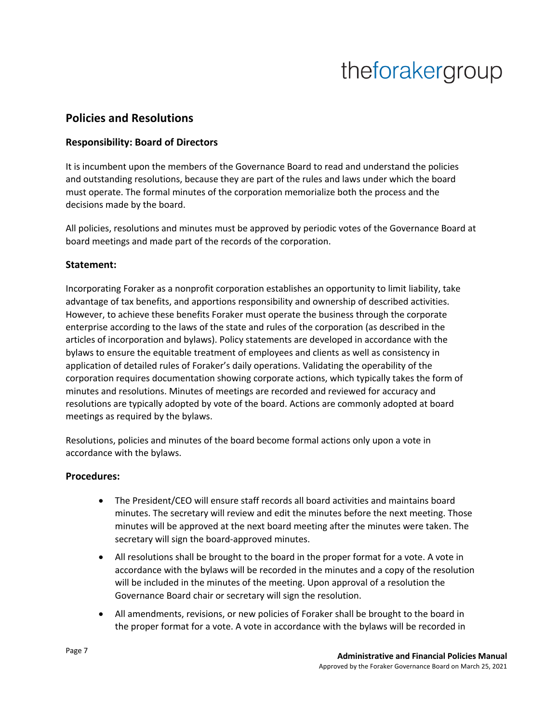### **Policies and Resolutions**

### **Responsibility: Board of Directors**

It is incumbent upon the members of the Governance Board to read and understand the policies and outstanding resolutions, because they are part of the rules and laws under which the board must operate. The formal minutes of the corporation memorialize both the process and the decisions made by the board.

All policies, resolutions and minutes must be approved by periodic votes of the Governance Board at board meetings and made part of the records of the corporation.

### **Statement:**

Incorporating Foraker as a nonprofit corporation establishes an opportunity to limit liability, take advantage of tax benefits, and apportions responsibility and ownership of described activities. However, to achieve these benefits Foraker must operate the business through the corporate enterprise according to the laws of the state and rules of the corporation (as described in the articles of incorporation and bylaws). Policy statements are developed in accordance with the bylaws to ensure the equitable treatment of employees and clients as well as consistency in application of detailed rules of Foraker's daily operations. Validating the operability of the corporation requires documentation showing corporate actions, which typically takes the form of minutes and resolutions. Minutes of meetings are recorded and reviewed for accuracy and resolutions are typically adopted by vote of the board. Actions are commonly adopted at board meetings as required by the bylaws.

Resolutions, policies and minutes of the board become formal actions only upon a vote in accordance with the bylaws.

### **Procedures:**

- The President/CEO will ensure staff records all board activities and maintains board minutes. The secretary will review and edit the minutes before the next meeting. Those minutes will be approved at the next board meeting after the minutes were taken. The secretary will sign the board-approved minutes.
- All resolutions shall be brought to the board in the proper format for a vote. A vote in accordance with the bylaws will be recorded in the minutes and a copy of the resolution will be included in the minutes of the meeting. Upon approval of a resolution the Governance Board chair or secretary will sign the resolution.
- All amendments, revisions, or new policies of Foraker shall be brought to the board in the proper format for a vote. A vote in accordance with the bylaws will be recorded in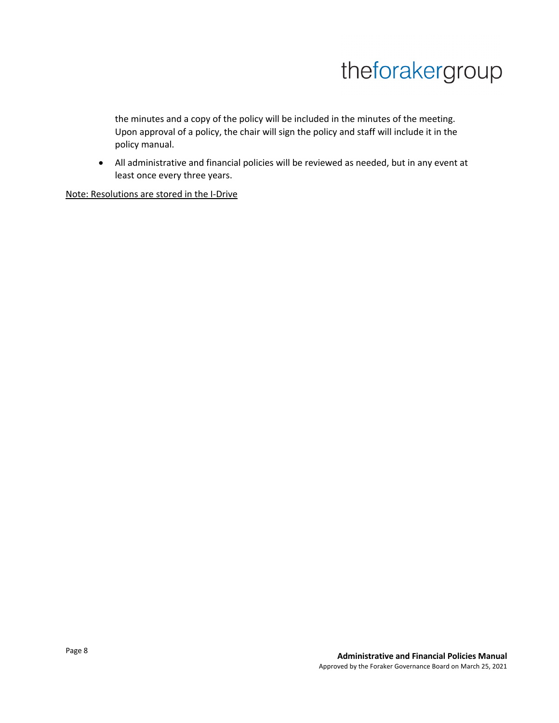the minutes and a copy of the policy will be included in the minutes of the meeting. Upon approval of a policy, the chair will sign the policy and staff will include it in the policy manual.

• All administrative and financial policies will be reviewed as needed, but in any event at least once every three years.

Note: Resolutions are stored in the I-Drive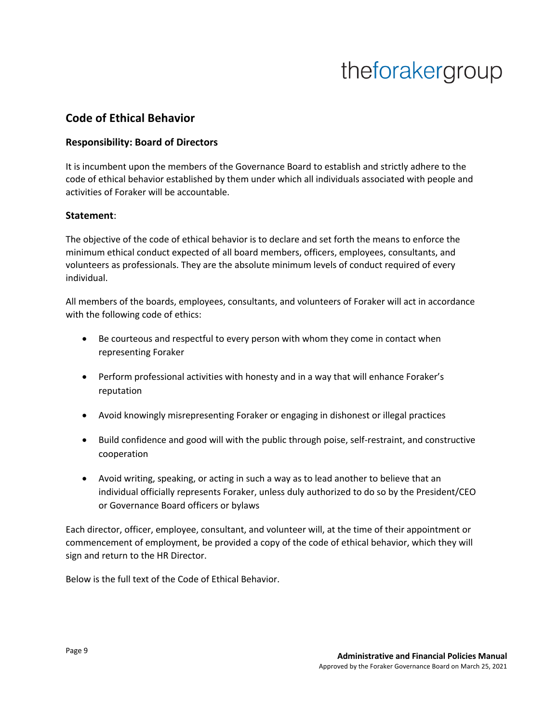### **Code of Ethical Behavior**

### **Responsibility: Board of Directors**

It is incumbent upon the members of the Governance Board to establish and strictly adhere to the code of ethical behavior established by them under which all individuals associated with people and activities of Foraker will be accountable.

#### **Statement**:

The objective of the code of ethical behavior is to declare and set forth the means to enforce the minimum ethical conduct expected of all board members, officers, employees, consultants, and volunteers as professionals. They are the absolute minimum levels of conduct required of every individual.

All members of the boards, employees, consultants, and volunteers of Foraker will act in accordance with the following code of ethics:

- Be courteous and respectful to every person with whom they come in contact when representing Foraker
- Perform professional activities with honesty and in a way that will enhance Foraker's reputation
- Avoid knowingly misrepresenting Foraker or engaging in dishonest or illegal practices
- Build confidence and good will with the public through poise, self-restraint, and constructive cooperation
- Avoid writing, speaking, or acting in such a way as to lead another to believe that an individual officially represents Foraker, unless duly authorized to do so by the President/CEO or Governance Board officers or bylaws

Each director, officer, employee, consultant, and volunteer will, at the time of their appointment or commencement of employment, be provided a copy of the code of ethical behavior, which they will sign and return to the HR Director.

Below is the full text of the Code of Ethical Behavior.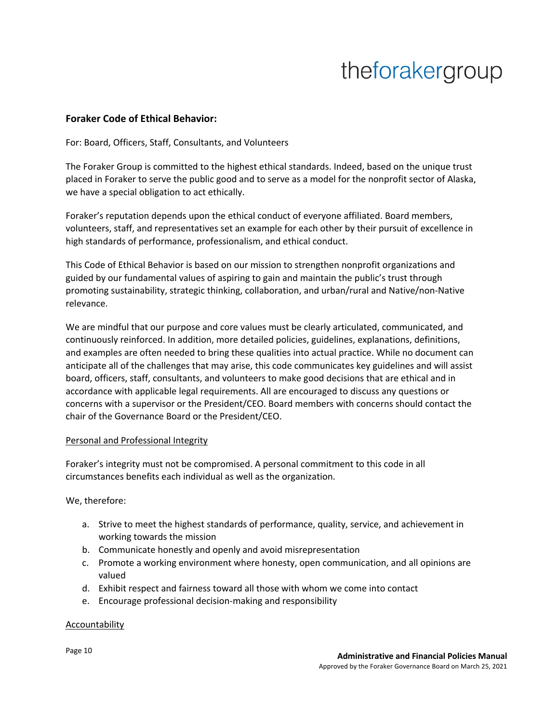#### **Foraker Code of Ethical Behavior:**

For: Board, Officers, Staff, Consultants, and Volunteers

The Foraker Group is committed to the highest ethical standards. Indeed, based on the unique trust placed in Foraker to serve the public good and to serve as a model for the nonprofit sector of Alaska, we have a special obligation to act ethically.

Foraker's reputation depends upon the ethical conduct of everyone affiliated. Board members, volunteers, staff, and representatives set an example for each other by their pursuit of excellence in high standards of performance, professionalism, and ethical conduct.

This Code of Ethical Behavior is based on our mission to strengthen nonprofit organizations and guided by our fundamental values of aspiring to gain and maintain the public's trust through promoting sustainability, strategic thinking, collaboration, and urban/rural and Native/non-Native relevance.

We are mindful that our purpose and core values must be clearly articulated, communicated, and continuously reinforced. In addition, more detailed policies, guidelines, explanations, definitions, and examples are often needed to bring these qualities into actual practice. While no document can anticipate all of the challenges that may arise, this code communicates key guidelines and will assist board, officers, staff, consultants, and volunteers to make good decisions that are ethical and in accordance with applicable legal requirements. All are encouraged to discuss any questions or concerns with a supervisor or the President/CEO. Board members with concerns should contact the chair of the Governance Board or the President/CEO.

#### Personal and Professional Integrity

Foraker's integrity must not be compromised. A personal commitment to this code in all circumstances benefits each individual as well as the organization.

We, therefore:

- a. Strive to meet the highest standards of performance, quality, service, and achievement in working towards the mission
- b. Communicate honestly and openly and avoid misrepresentation
- c. Promote a working environment where honesty, open communication, and all opinions are valued
- d. Exhibit respect and fairness toward all those with whom we come into contact
- e. Encourage professional decision-making and responsibility

#### **Accountability**

Page 10 **Administrative and Financial Policies Manual** Approved by the Foraker Governance Board on March 25, 2021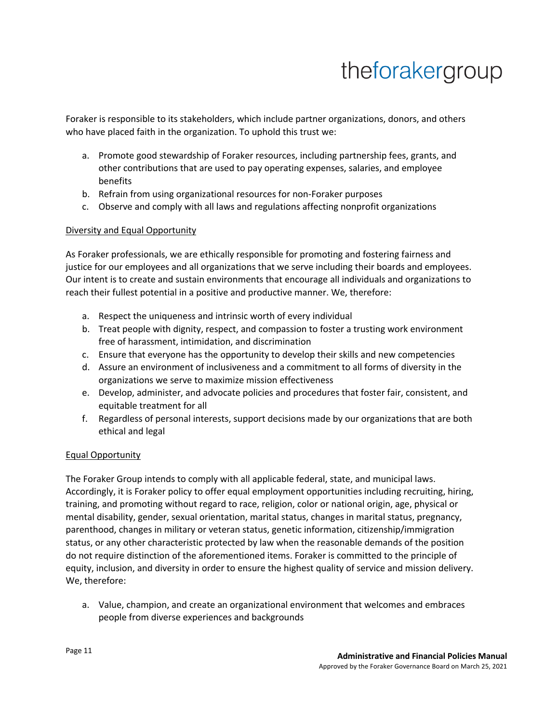Foraker is responsible to its stakeholders, which include partner organizations, donors, and others who have placed faith in the organization. To uphold this trust we:

- a. Promote good stewardship of Foraker resources, including partnership fees, grants, and other contributions that are used to pay operating expenses, salaries, and employee benefits
- b. Refrain from using organizational resources for non-Foraker purposes
- c. Observe and comply with all laws and regulations affecting nonprofit organizations

### Diversity and Equal Opportunity

As Foraker professionals, we are ethically responsible for promoting and fostering fairness and justice for our employees and all organizations that we serve including their boards and employees. Our intent is to create and sustain environments that encourage all individuals and organizations to reach their fullest potential in a positive and productive manner. We, therefore:

- a. Respect the uniqueness and intrinsic worth of every individual
- b. Treat people with dignity, respect, and compassion to foster a trusting work environment free of harassment, intimidation, and discrimination
- c. Ensure that everyone has the opportunity to develop their skills and new competencies
- d. Assure an environment of inclusiveness and a commitment to all forms of diversity in the organizations we serve to maximize mission effectiveness
- e. Develop, administer, and advocate policies and procedures that foster fair, consistent, and equitable treatment for all
- f. Regardless of personal interests, support decisions made by our organizations that are both ethical and legal

### Equal Opportunity

The Foraker Group intends to comply with all applicable federal, state, and municipal laws. Accordingly, it is Foraker policy to offer equal employment opportunities including recruiting, hiring, training, and promoting without regard to race, religion, color or national origin, age, physical or mental disability, gender, sexual orientation, marital status, changes in marital status, pregnancy, parenthood, changes in military or veteran status, genetic information, citizenship/immigration status, or any other characteristic protected by law when the reasonable demands of the position do not require distinction of the aforementioned items. Foraker is committed to the principle of equity, inclusion, and diversity in order to ensure the highest quality of service and mission delivery. We, therefore:

a. Value, champion, and create an organizational environment that welcomes and embraces people from diverse experiences and backgrounds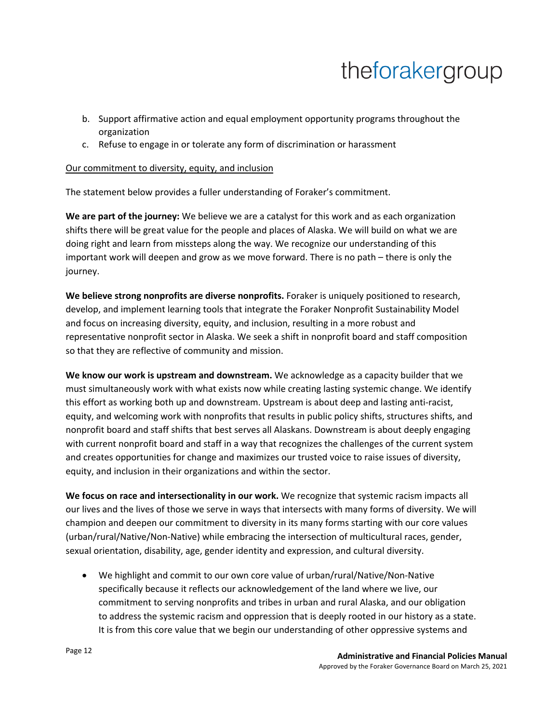- b. Support affirmative action and equal employment opportunity programs throughout the organization
- c. Refuse to engage in or tolerate any form of discrimination or harassment

#### Our commitment to diversity, equity, and inclusion

The statement below provides a fuller understanding of Foraker's commitment.

**We are part of the journey:** We believe we are a catalyst for this work and as each organization shifts there will be great value for the people and places of Alaska. We will build on what we are doing right and learn from missteps along the way. We recognize our understanding of this important work will deepen and grow as we move forward. There is no path – there is only the journey.

**We believe strong nonprofits are diverse nonprofits.** Foraker is uniquely positioned to research, develop, and implement learning tools that integrate the Foraker Nonprofit Sustainability Model and focus on increasing diversity, equity, and inclusion, resulting in a more robust and representative nonprofit sector in Alaska. We seek a shift in nonprofit board and staff composition so that they are reflective of community and mission.

**We know our work is upstream and downstream.** We acknowledge as a capacity builder that we must simultaneously work with what exists now while creating lasting systemic change. We identify this effort as working both up and downstream. Upstream is about deep and lasting anti-racist, equity, and welcoming work with nonprofits that results in public policy shifts, structures shifts, and nonprofit board and staff shifts that best serves all Alaskans. Downstream is about deeply engaging with current nonprofit board and staff in a way that recognizes the challenges of the current system and creates opportunities for change and maximizes our trusted voice to raise issues of diversity, equity, and inclusion in their organizations and within the sector.

**We focus on race and intersectionality in our work.** We recognize that systemic racism impacts all our lives and the lives of those we serve in ways that intersects with many forms of diversity. We will champion and deepen our commitment to diversity in its many forms starting with our core values (urban/rural/Native/Non-Native) while embracing the intersection of multicultural races, gender, sexual orientation, disability, age, gender identity and expression, and cultural diversity.

• We highlight and commit to our own core value of urban/rural/Native/Non-Native specifically because it reflects our acknowledgement of the land where we live, our commitment to serving nonprofits and tribes in urban and rural Alaska, and our obligation to address the systemic racism and oppression that is deeply rooted in our history as a state. It is from this core value that we begin our understanding of other oppressive systems and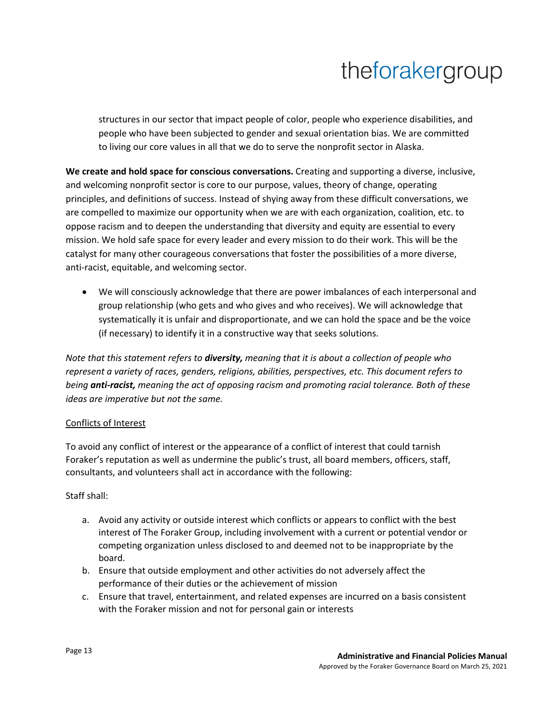structures in our sector that impact people of color, people who experience disabilities, and people who have been subjected to gender and sexual orientation bias. We are committed to living our core values in all that we do to serve the nonprofit sector in Alaska.

**We create and hold space for conscious conversations.** Creating and supporting a diverse, inclusive, and welcoming nonprofit sector is core to our purpose, values, theory of change, operating principles, and definitions of success. Instead of shying away from these difficult conversations, we are compelled to maximize our opportunity when we are with each organization, coalition, etc. to oppose racism and to deepen the understanding that diversity and equity are essential to every mission. We hold safe space for every leader and every mission to do their work. This will be the catalyst for many other courageous conversations that foster the possibilities of a more diverse, anti-racist, equitable, and welcoming sector.

• We will consciously acknowledge that there are power imbalances of each interpersonal and group relationship (who gets and who gives and who receives). We will acknowledge that systematically it is unfair and disproportionate, and we can hold the space and be the voice (if necessary) to identify it in a constructive way that seeks solutions.

*Note that this statement refers to diversity, meaning that it is about a collection of people who represent a variety of races, genders, religions, abilities, perspectives, etc. This document refers to being anti-racist, meaning the act of opposing racism and promoting racial tolerance. Both of these ideas are imperative but not the same.*

### Conflicts of Interest

To avoid any conflict of interest or the appearance of a conflict of interest that could tarnish Foraker's reputation as well as undermine the public's trust, all board members, officers, staff, consultants, and volunteers shall act in accordance with the following:

### Staff shall:

- a. Avoid any activity or outside interest which conflicts or appears to conflict with the best interest of The Foraker Group, including involvement with a current or potential vendor or competing organization unless disclosed to and deemed not to be inappropriate by the board.
- b. Ensure that outside employment and other activities do not adversely affect the performance of their duties or the achievement of mission
- c. Ensure that travel, entertainment, and related expenses are incurred on a basis consistent with the Foraker mission and not for personal gain or interests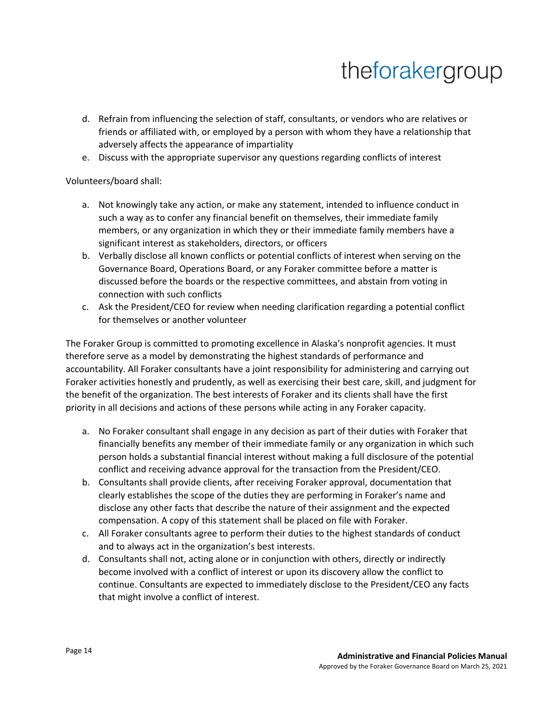- d. Refrain from influencing the selection of staff, consultants, or vendors who are relatives or friends or affiliated with, or employed by a person with whom they have a relationship that adversely affects the appearance of impartiality
- e. Discuss with the appropriate supervisor any questions regarding conflicts of interest

Volunteers/board shall:

- a. Not knowingly take any action, or make any statement, intended to influence conduct in such a way as to confer any financial benefit on themselves, their immediate family members, or any organization in which they or their immediate family members have a significant interest as stakeholders, directors, or officers
- b. Verbally disclose all known conflicts or potential conflicts of interest when serving on the Governance Board, Operations Board, or any Foraker committee before a matter is discussed before the boards or the respective committees, and abstain from voting in connection with such conflicts
- c. Ask the President/CEO for review when needing clarification regarding a potential conflict for themselves or another volunteer

The Foraker Group is committed to promoting excellence in Alaska's nonprofit agencies. It must therefore serve as a model by demonstrating the highest standards of performance and accountability. All Foraker consultants have a joint responsibility for administering and carrying out Foraker activities honestly and prudently, as well as exercising their best care, skill, and judgment for the benefit of the organization. The best interests of Foraker and its clients shall have the first priority in all decisions and actions of these persons while acting in any Foraker capacity.

- a. No Foraker consultant shall engage in any decision as part of their duties with Foraker that financially benefits any member of their immediate family or any organization in which such person holds a substantial financial interest without making a full disclosure of the potential conflict and receiving advance approval for the transaction from the President/CEO.
- b. Consultants shall provide clients, after receiving Foraker approval, documentation that clearly establishes the scope of the duties they are performing in Foraker's name and disclose any other facts that describe the nature of their assignment and the expected compensation. A copy of this statement shall be placed on file with Foraker.
- c. All Foraker consultants agree to perform their duties to the highest standards of conduct and to always act in the organization's best interests.
- d. Consultants shall not, acting alone or in conjunction with others, directly or indirectly become involved with a conflict of interest or upon its discovery allow the conflict to continue. Consultants are expected to immediately disclose to the President/CEO any facts that might involve a conflict of interest.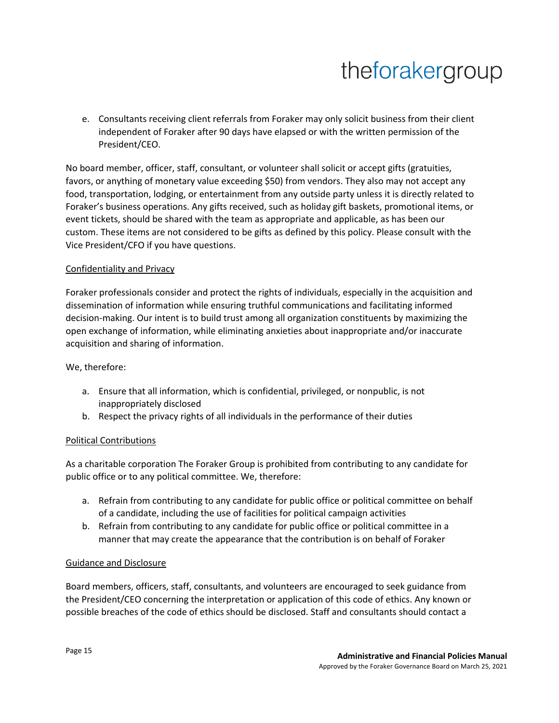e. Consultants receiving client referrals from Foraker may only solicit business from their client independent of Foraker after 90 days have elapsed or with the written permission of the President/CEO.

No board member, officer, staff, consultant, or volunteer shall solicit or accept gifts (gratuities, favors, or anything of monetary value exceeding \$50) from vendors. They also may not accept any food, transportation, lodging, or entertainment from any outside party unless it is directly related to Foraker's business operations. Any gifts received, such as holiday gift baskets, promotional items, or event tickets, should be shared with the team as appropriate and applicable, as has been our custom. These items are not considered to be gifts as defined by this policy. Please consult with the Vice President/CFO if you have questions.

#### Confidentiality and Privacy

Foraker professionals consider and protect the rights of individuals, especially in the acquisition and dissemination of information while ensuring truthful communications and facilitating informed decision-making. Our intent is to build trust among all organization constituents by maximizing the open exchange of information, while eliminating anxieties about inappropriate and/or inaccurate acquisition and sharing of information.

We, therefore:

- a. Ensure that all information, which is confidential, privileged, or nonpublic, is not inappropriately disclosed
- b. Respect the privacy rights of all individuals in the performance of their duties

#### Political Contributions

As a charitable corporation The Foraker Group is prohibited from contributing to any candidate for public office or to any political committee. We, therefore:

- a. Refrain from contributing to any candidate for public office or political committee on behalf of a candidate, including the use of facilities for political campaign activities
- b. Refrain from contributing to any candidate for public office or political committee in a manner that may create the appearance that the contribution is on behalf of Foraker

#### Guidance and Disclosure

Board members, officers, staff, consultants, and volunteers are encouraged to seek guidance from the President/CEO concerning the interpretation or application of this code of ethics. Any known or possible breaches of the code of ethics should be disclosed. Staff and consultants should contact a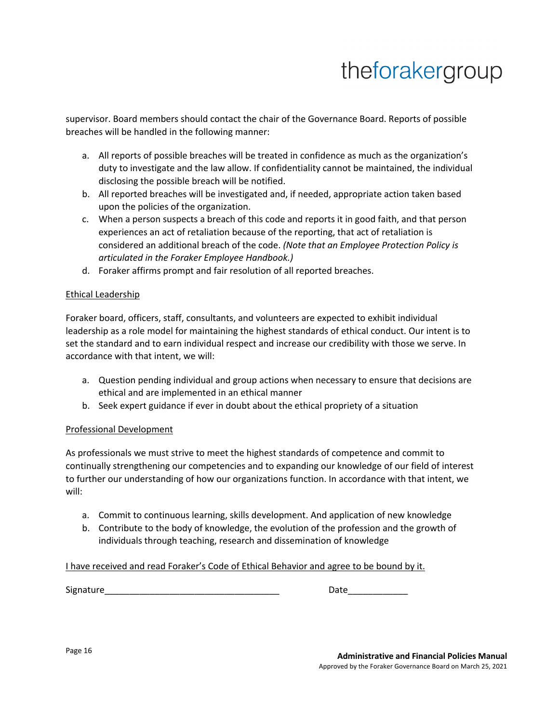supervisor. Board members should contact the chair of the Governance Board. Reports of possible breaches will be handled in the following manner:

- a. All reports of possible breaches will be treated in confidence as much as the organization's duty to investigate and the law allow. If confidentiality cannot be maintained, the individual disclosing the possible breach will be notified.
- b. All reported breaches will be investigated and, if needed, appropriate action taken based upon the policies of the organization.
- c. When a person suspects a breach of this code and reports it in good faith, and that person experiences an act of retaliation because of the reporting, that act of retaliation is considered an additional breach of the code. *(Note that an Employee Protection Policy is articulated in the Foraker Employee Handbook.)*
- d. Foraker affirms prompt and fair resolution of all reported breaches.

### Ethical Leadership

Foraker board, officers, staff, consultants, and volunteers are expected to exhibit individual leadership as a role model for maintaining the highest standards of ethical conduct. Our intent is to set the standard and to earn individual respect and increase our credibility with those we serve. In accordance with that intent, we will:

- a. Question pending individual and group actions when necessary to ensure that decisions are ethical and are implemented in an ethical manner
- b. Seek expert guidance if ever in doubt about the ethical propriety of a situation

### Professional Development

As professionals we must strive to meet the highest standards of competence and commit to continually strengthening our competencies and to expanding our knowledge of our field of interest to further our understanding of how our organizations function. In accordance with that intent, we will:

- a. Commit to continuous learning, skills development. And application of new knowledge
- b. Contribute to the body of knowledge, the evolution of the profession and the growth of individuals through teaching, research and dissemination of knowledge

#### I have received and read Foraker's Code of Ethical Behavior and agree to be bound by it.

Signature\_\_\_\_\_\_\_\_\_\_\_\_\_\_\_\_\_\_\_\_\_\_\_\_\_\_\_\_\_\_\_\_\_\_\_ Date\_\_\_\_\_\_\_\_\_\_\_\_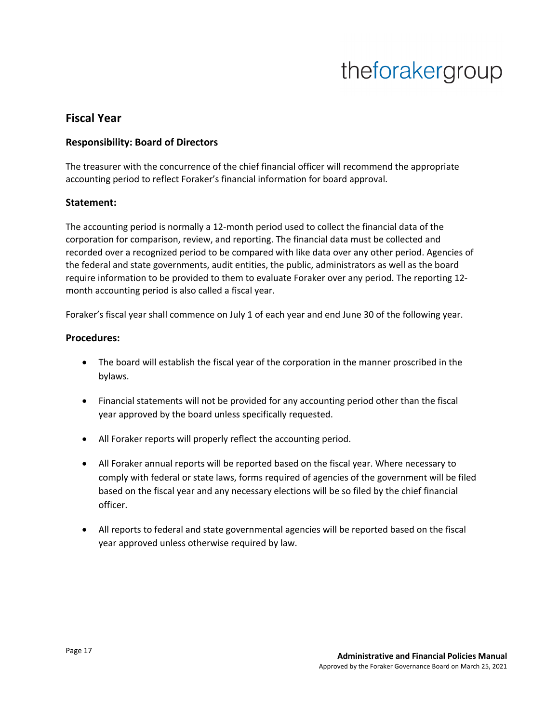### **Fiscal Year**

### **Responsibility: Board of Directors**

The treasurer with the concurrence of the chief financial officer will recommend the appropriate accounting period to reflect Foraker's financial information for board approval.

### **Statement:**

The accounting period is normally a 12-month period used to collect the financial data of the corporation for comparison, review, and reporting. The financial data must be collected and recorded over a recognized period to be compared with like data over any other period. Agencies of the federal and state governments, audit entities, the public, administrators as well as the board require information to be provided to them to evaluate Foraker over any period. The reporting 12 month accounting period is also called a fiscal year.

Foraker's fiscal year shall commence on July 1 of each year and end June 30 of the following year.

#### **Procedures:**

- The board will establish the fiscal year of the corporation in the manner proscribed in the bylaws.
- Financial statements will not be provided for any accounting period other than the fiscal year approved by the board unless specifically requested.
- All Foraker reports will properly reflect the accounting period.
- All Foraker annual reports will be reported based on the fiscal year. Where necessary to comply with federal or state laws, forms required of agencies of the government will be filed based on the fiscal year and any necessary elections will be so filed by the chief financial officer.
- All reports to federal and state governmental agencies will be reported based on the fiscal year approved unless otherwise required by law.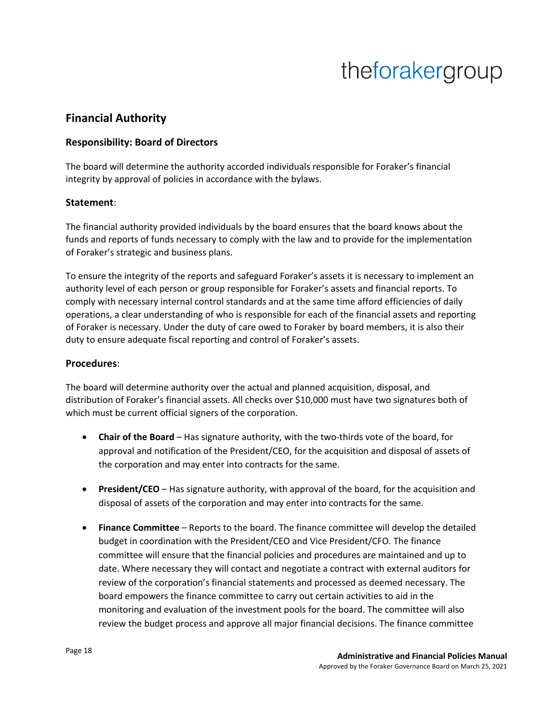## **Financial Authority**

### **Responsibility: Board of Directors**

The board will determine the authority accorded individuals responsible for Foraker's financial integrity by approval of policies in accordance with the bylaws.

#### **Statement**:

The financial authority provided individuals by the board ensures that the board knows about the funds and reports of funds necessary to comply with the law and to provide for the implementation of Foraker's strategic and business plans.

To ensure the integrity of the reports and safeguard Foraker's assets it is necessary to implement an authority level of each person or group responsible for Foraker's assets and financial reports. To comply with necessary internal control standards and at the same time afford efficiencies of daily operations, a clear understanding of who is responsible for each of the financial assets and reporting of Foraker is necessary. Under the duty of care owed to Foraker by board members, it is also their duty to ensure adequate fiscal reporting and control of Foraker's assets.

#### **Procedures**:

The board will determine authority over the actual and planned acquisition, disposal, and distribution of Foraker's financial assets. All checks over \$10,000 must have two signatures both of which must be current official signers of the corporation.

- **Chair of the Board** Has signature authority, with the two-thirds vote of the board, for approval and notification of the President/CEO, for the acquisition and disposal of assets of the corporation and may enter into contracts for the same.
- **President/CEO** Has signature authority, with approval of the board, for the acquisition and disposal of assets of the corporation and may enter into contracts for the same.
- **Finance Committee**  Reports to the board. The finance committee will develop the detailed budget in coordination with the President/CEO and Vice President/CFO. The finance committee will ensure that the financial policies and procedures are maintained and up to date. Where necessary they will contact and negotiate a contract with external auditors for review of the corporation's financial statements and processed as deemed necessary. The board empowers the finance committee to carry out certain activities to aid in the monitoring and evaluation of the investment pools for the board. The committee will also review the budget process and approve all major financial decisions. The finance committee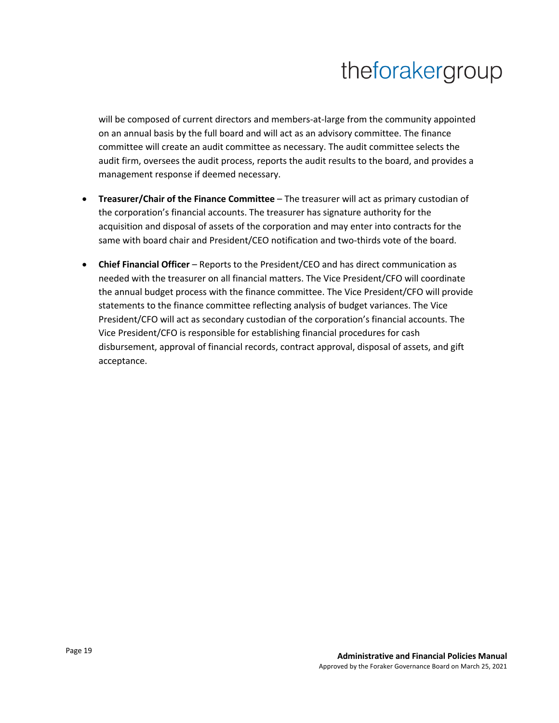will be composed of current directors and members-at-large from the community appointed on an annual basis by the full board and will act as an advisory committee. The finance committee will create an audit committee as necessary. The audit committee selects the audit firm, oversees the audit process, reports the audit results to the board, and provides a management response if deemed necessary.

- **Treasurer/Chair of the Finance Committee** The treasurer will act as primary custodian of the corporation's financial accounts. The treasurer has signature authority for the acquisition and disposal of assets of the corporation and may enter into contracts for the same with board chair and President/CEO notification and two-thirds vote of the board.
- **Chief Financial Officer** Reports to the President/CEO and has direct communication as needed with the treasurer on all financial matters. The Vice President/CFO will coordinate the annual budget process with the finance committee. The Vice President/CFO will provide statements to the finance committee reflecting analysis of budget variances. The Vice President/CFO will act as secondary custodian of the corporation's financial accounts. The Vice President/CFO is responsible for establishing financial procedures for cash disbursement, approval of financial records, contract approval, disposal of assets, and gift acceptance.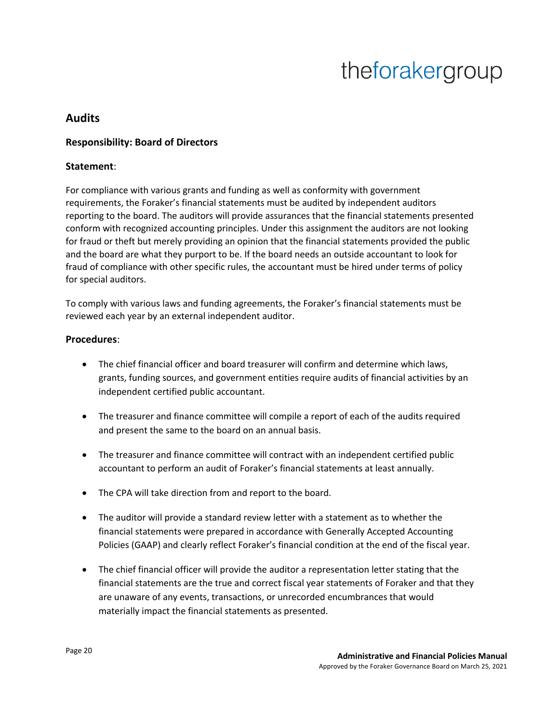## **Audits**

### **Responsibility: Board of Directors**

### **Statement**:

For compliance with various grants and funding as well as conformity with government requirements, the Foraker's financial statements must be audited by independent auditors reporting to the board. The auditors will provide assurances that the financial statements presented conform with recognized accounting principles. Under this assignment the auditors are not looking for fraud or theft but merely providing an opinion that the financial statements provided the public and the board are what they purport to be. If the board needs an outside accountant to look for fraud of compliance with other specific rules, the accountant must be hired under terms of policy for special auditors.

To comply with various laws and funding agreements, the Foraker's financial statements must be reviewed each year by an external independent auditor.

### **Procedures**:

- The chief financial officer and board treasurer will confirm and determine which laws, grants, funding sources, and government entities require audits of financial activities by an independent certified public accountant.
- The treasurer and finance committee will compile a report of each of the audits required and present the same to the board on an annual basis.
- The treasurer and finance committee will contract with an independent certified public accountant to perform an audit of Foraker's financial statements at least annually.
- The CPA will take direction from and report to the board.
- The auditor will provide a standard review letter with a statement as to whether the financial statements were prepared in accordance with Generally Accepted Accounting Policies (GAAP) and clearly reflect Foraker's financial condition at the end of the fiscal year.
- The chief financial officer will provide the auditor a representation letter stating that the financial statements are the true and correct fiscal year statements of Foraker and that they are unaware of any events, transactions, or unrecorded encumbrances that would materially impact the financial statements as presented.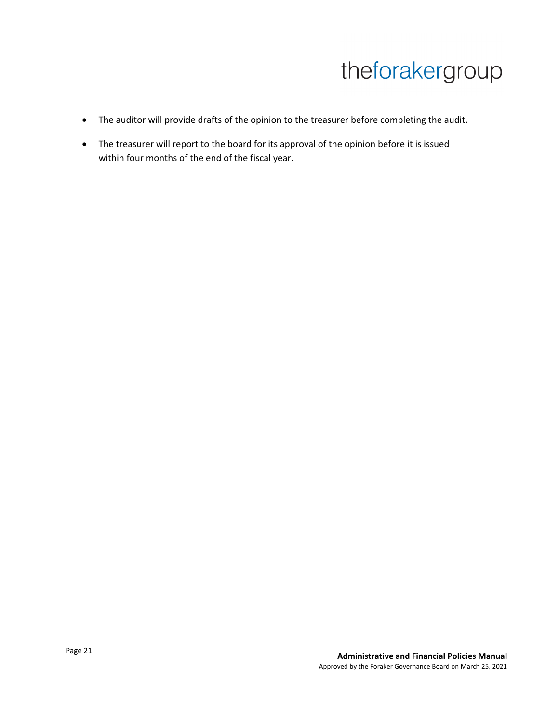- The auditor will provide drafts of the opinion to the treasurer before completing the audit.
- The treasurer will report to the board for its approval of the opinion before it is issued within four months of the end of the fiscal year.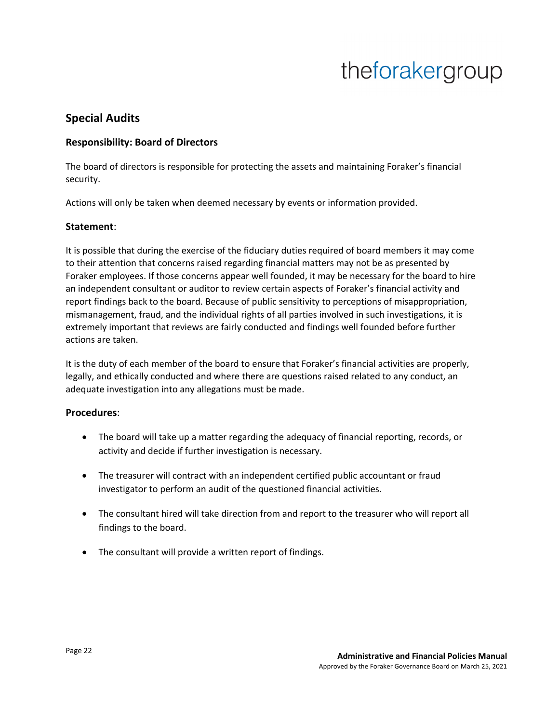## **Special Audits**

### **Responsibility: Board of Directors**

The board of directors is responsible for protecting the assets and maintaining Foraker's financial security.

Actions will only be taken when deemed necessary by events or information provided.

### **Statement**:

It is possible that during the exercise of the fiduciary duties required of board members it may come to their attention that concerns raised regarding financial matters may not be as presented by Foraker employees. If those concerns appear well founded, it may be necessary for the board to hire an independent consultant or auditor to review certain aspects of Foraker's financial activity and report findings back to the board. Because of public sensitivity to perceptions of misappropriation, mismanagement, fraud, and the individual rights of all parties involved in such investigations, it is extremely important that reviews are fairly conducted and findings well founded before further actions are taken.

It is the duty of each member of the board to ensure that Foraker's financial activities are properly, legally, and ethically conducted and where there are questions raised related to any conduct, an adequate investigation into any allegations must be made.

### **Procedures**:

- The board will take up a matter regarding the adequacy of financial reporting, records, or activity and decide if further investigation is necessary.
- The treasurer will contract with an independent certified public accountant or fraud investigator to perform an audit of the questioned financial activities.
- The consultant hired will take direction from and report to the treasurer who will report all findings to the board.
- The consultant will provide a written report of findings.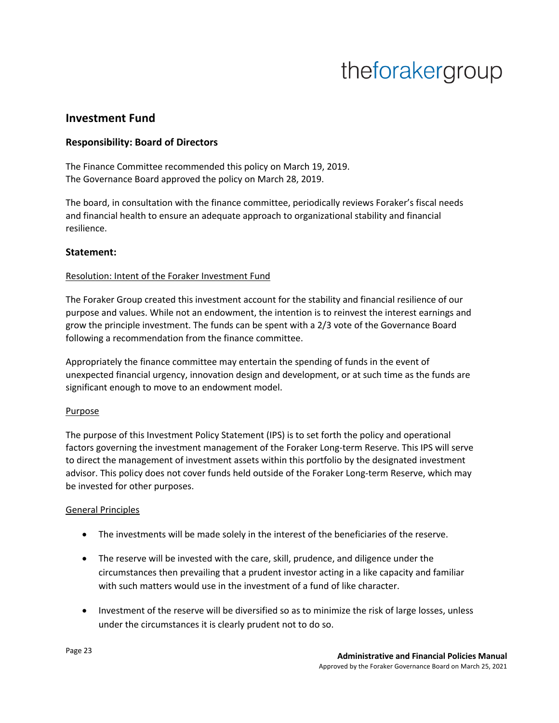### **Investment Fund**

### **Responsibility: Board of Directors**

The Finance Committee recommended this policy on March 19, 2019. The Governance Board approved the policy on March 28, 2019.

The board, in consultation with the finance committee, periodically reviews Foraker's fiscal needs and financial health to ensure an adequate approach to organizational stability and financial resilience.

#### **Statement:**

#### Resolution: Intent of the Foraker Investment Fund

The Foraker Group created this investment account for the stability and financial resilience of our purpose and values. While not an endowment, the intention is to reinvest the interest earnings and grow the principle investment. The funds can be spent with a 2/3 vote of the Governance Board following a recommendation from the finance committee.

Appropriately the finance committee may entertain the spending of funds in the event of unexpected financial urgency, innovation design and development, or at such time as the funds are significant enough to move to an endowment model.

#### **Purpose**

The purpose of this Investment Policy Statement (IPS) is to set forth the policy and operational factors governing the investment management of the Foraker Long-term Reserve. This IPS will serve to direct the management of investment assets within this portfolio by the designated investment advisor. This policy does not cover funds held outside of the Foraker Long-term Reserve, which may be invested for other purposes.

### General Principles

- The investments will be made solely in the interest of the beneficiaries of the reserve.
- The reserve will be invested with the care, skill, prudence, and diligence under the circumstances then prevailing that a prudent investor acting in a like capacity and familiar with such matters would use in the investment of a fund of like character.
- Investment of the reserve will be diversified so as to minimize the risk of large losses, unless under the circumstances it is clearly prudent not to do so.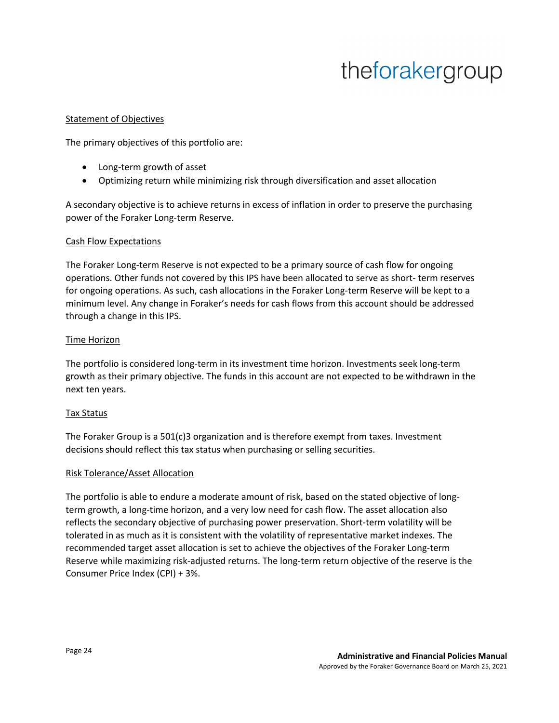#### Statement of Objectives

The primary objectives of this portfolio are:

- Long-term growth of asset
- Optimizing return while minimizing risk through diversification and asset allocation

A secondary objective is to achieve returns in excess of inflation in order to preserve the purchasing power of the Foraker Long-term Reserve.

#### Cash Flow Expectations

The Foraker Long-term Reserve is not expected to be a primary source of cash flow for ongoing operations. Other funds not covered by this IPS have been allocated to serve as short- term reserves for ongoing operations. As such, cash allocations in the Foraker Long-term Reserve will be kept to a minimum level. Any change in Foraker's needs for cash flows from this account should be addressed through a change in this IPS.

#### Time Horizon

The portfolio is considered long-term in its investment time horizon. Investments seek long-term growth as their primary objective. The funds in this account are not expected to be withdrawn in the next ten years.

#### Tax Status

The Foraker Group is a 501(c)3 organization and is therefore exempt from taxes. Investment decisions should reflect this tax status when purchasing or selling securities.

#### Risk Tolerance/Asset Allocation

The portfolio is able to endure a moderate amount of risk, based on the stated objective of longterm growth, a long-time horizon, and a very low need for cash flow. The asset allocation also reflects the secondary objective of purchasing power preservation. Short-term volatility will be tolerated in as much as it is consistent with the volatility of representative market indexes. The recommended target asset allocation is set to achieve the objectives of the Foraker Long-term Reserve while maximizing risk-adjusted returns. The long-term return objective of the reserve is the Consumer Price Index (CPI) + 3%.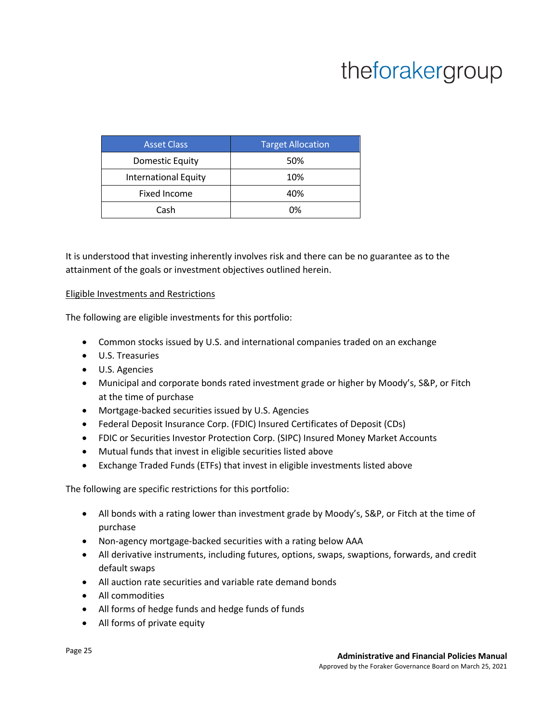| <b>Asset Class</b>          | <b>Target Allocation</b> |
|-----------------------------|--------------------------|
| <b>Domestic Equity</b>      | 50%                      |
| <b>International Equity</b> | 10%                      |
| <b>Fixed Income</b>         | 40%                      |
| Cash                        | በ%                       |

It is understood that investing inherently involves risk and there can be no guarantee as to the attainment of the goals or investment objectives outlined herein.

#### Eligible Investments and Restrictions

The following are eligible investments for this portfolio:

- Common stocks issued by U.S. and international companies traded on an exchange
- U.S. Treasuries
- U.S. Agencies
- Municipal and corporate bonds rated investment grade or higher by Moody's, S&P, or Fitch at the time of purchase
- Mortgage-backed securities issued by U.S. Agencies
- Federal Deposit Insurance Corp. (FDIC) Insured Certificates of Deposit (CDs)
- FDIC or Securities Investor Protection Corp. (SIPC) Insured Money Market Accounts
- Mutual funds that invest in eligible securities listed above
- Exchange Traded Funds (ETFs) that invest in eligible investments listed above

The following are specific restrictions for this portfolio:

- All bonds with a rating lower than investment grade by Moody's, S&P, or Fitch at the time of purchase
- Non-agency mortgage-backed securities with a rating below AAA
- All derivative instruments, including futures, options, swaps, swaptions, forwards, and credit default swaps
- All auction rate securities and variable rate demand bonds
- All commodities
- All forms of hedge funds and hedge funds of funds
- All forms of private equity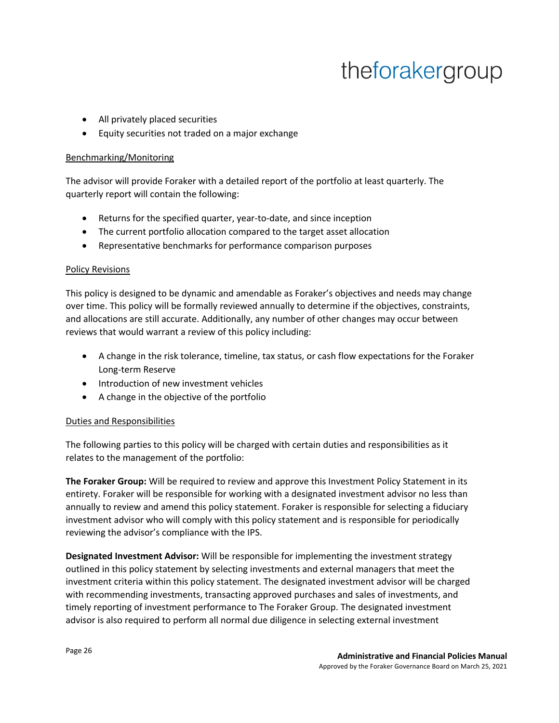- All privately placed securities
- Equity securities not traded on a major exchange

#### Benchmarking/Monitoring

The advisor will provide Foraker with a detailed report of the portfolio at least quarterly. The quarterly report will contain the following:

- Returns for the specified quarter, year-to-date, and since inception
- The current portfolio allocation compared to the target asset allocation
- Representative benchmarks for performance comparison purposes

#### Policy Revisions

This policy is designed to be dynamic and amendable as Foraker's objectives and needs may change over time. This policy will be formally reviewed annually to determine if the objectives, constraints, and allocations are still accurate. Additionally, any number of other changes may occur between reviews that would warrant a review of this policy including:

- A change in the risk tolerance, timeline, tax status, or cash flow expectations for the Foraker Long-term Reserve
- Introduction of new investment vehicles
- A change in the objective of the portfolio

#### Duties and Responsibilities

The following parties to this policy will be charged with certain duties and responsibilities as it relates to the management of the portfolio:

**The Foraker Group:** Will be required to review and approve this Investment Policy Statement in its entirety. Foraker will be responsible for working with a designated investment advisor no less than annually to review and amend this policy statement. Foraker is responsible for selecting a fiduciary investment advisor who will comply with this policy statement and is responsible for periodically reviewing the advisor's compliance with the IPS.

**Designated Investment Advisor:** Will be responsible for implementing the investment strategy outlined in this policy statement by selecting investments and external managers that meet the investment criteria within this policy statement. The designated investment advisor will be charged with recommending investments, transacting approved purchases and sales of investments, and timely reporting of investment performance to The Foraker Group. The designated investment advisor is also required to perform all normal due diligence in selecting external investment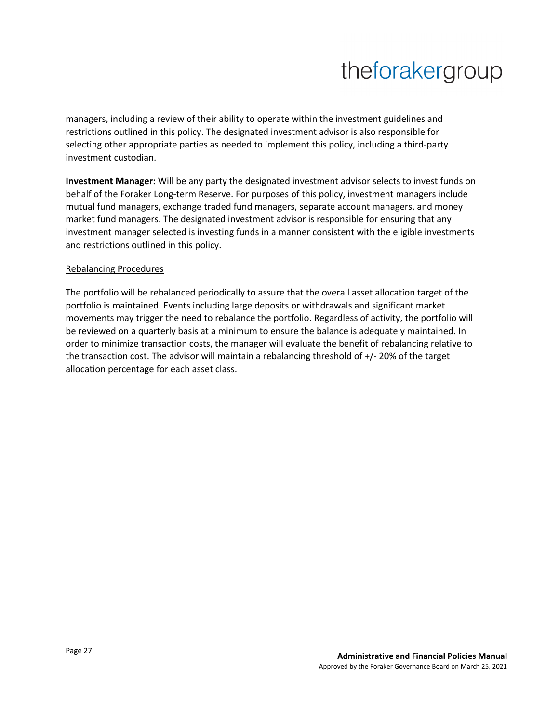managers, including a review of their ability to operate within the investment guidelines and restrictions outlined in this policy. The designated investment advisor is also responsible for selecting other appropriate parties as needed to implement this policy, including a third-party investment custodian.

**Investment Manager:** Will be any party the designated investment advisor selects to invest funds on behalf of the Foraker Long-term Reserve. For purposes of this policy, investment managers include mutual fund managers, exchange traded fund managers, separate account managers, and money market fund managers. The designated investment advisor is responsible for ensuring that any investment manager selected is investing funds in a manner consistent with the eligible investments and restrictions outlined in this policy.

#### Rebalancing Procedures

The portfolio will be rebalanced periodically to assure that the overall asset allocation target of the portfolio is maintained. Events including large deposits or withdrawals and significant market movements may trigger the need to rebalance the portfolio. Regardless of activity, the portfolio will be reviewed on a quarterly basis at a minimum to ensure the balance is adequately maintained. In order to minimize transaction costs, the manager will evaluate the benefit of rebalancing relative to the transaction cost. The advisor will maintain a rebalancing threshold of +/- 20% of the target allocation percentage for each asset class.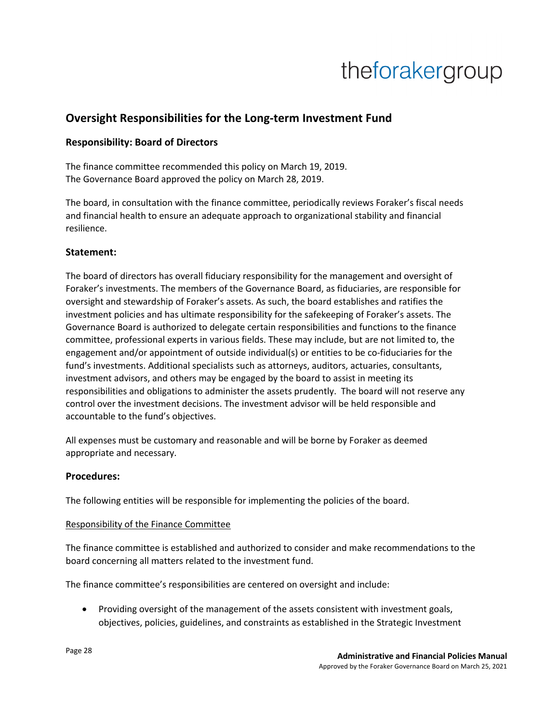## **Oversight Responsibilities for the Long-term Investment Fund**

### **Responsibility: Board of Directors**

The finance committee recommended this policy on March 19, 2019. The Governance Board approved the policy on March 28, 2019.

The board, in consultation with the finance committee, periodically reviews Foraker's fiscal needs and financial health to ensure an adequate approach to organizational stability and financial resilience.

### **Statement:**

The board of directors has overall fiduciary responsibility for the management and oversight of Foraker's investments. The members of the Governance Board, as fiduciaries, are responsible for oversight and stewardship of Foraker's assets. As such, the board establishes and ratifies the investment policies and has ultimate responsibility for the safekeeping of Foraker's assets. The Governance Board is authorized to delegate certain responsibilities and functions to the finance committee, professional experts in various fields. These may include, but are not limited to, the engagement and/or appointment of outside individual(s) or entities to be co-fiduciaries for the fund's investments. Additional specialists such as attorneys, auditors, actuaries, consultants, investment advisors, and others may be engaged by the board to assist in meeting its responsibilities and obligations to administer the assets prudently. The board will not reserve any control over the investment decisions. The investment advisor will be held responsible and accountable to the fund's objectives.

All expenses must be customary and reasonable and will be borne by Foraker as deemed appropriate and necessary.

### **Procedures:**

The following entities will be responsible for implementing the policies of the board.

#### Responsibility of the Finance Committee

The finance committee is established and authorized to consider and make recommendations to the board concerning all matters related to the investment fund.

The finance committee's responsibilities are centered on oversight and include:

• Providing oversight of the management of the assets consistent with investment goals, objectives, policies, guidelines, and constraints as established in the Strategic Investment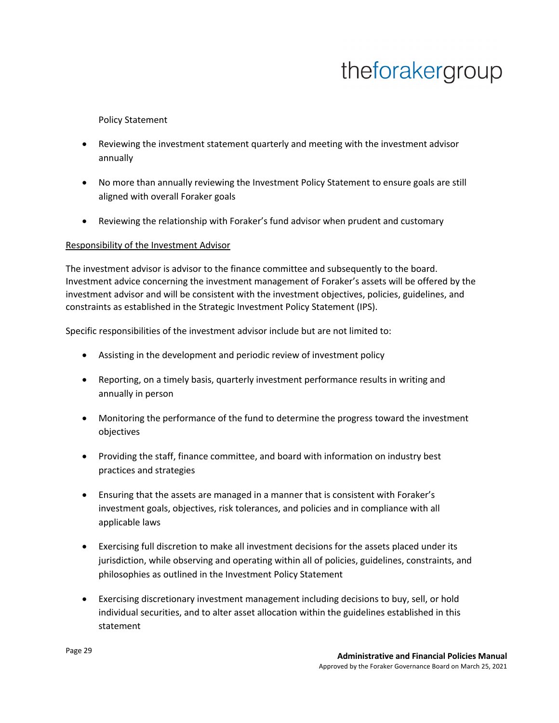Policy Statement

- Reviewing the investment statement quarterly and meeting with the investment advisor annually
- No more than annually reviewing the Investment Policy Statement to ensure goals are still aligned with overall Foraker goals
- Reviewing the relationship with Foraker's fund advisor when prudent and customary

#### Responsibility of the Investment Advisor

The investment advisor is advisor to the finance committee and subsequently to the board. Investment advice concerning the investment management of Foraker's assets will be offered by the investment advisor and will be consistent with the investment objectives, policies, guidelines, and constraints as established in the Strategic Investment Policy Statement (IPS).

Specific responsibilities of the investment advisor include but are not limited to:

- Assisting in the development and periodic review of investment policy
- Reporting, on a timely basis, quarterly investment performance results in writing and annually in person
- Monitoring the performance of the fund to determine the progress toward the investment objectives
- Providing the staff, finance committee, and board with information on industry best practices and strategies
- Ensuring that the assets are managed in a manner that is consistent with Foraker's investment goals, objectives, risk tolerances, and policies and in compliance with all applicable laws
- Exercising full discretion to make all investment decisions for the assets placed under its jurisdiction, while observing and operating within all of policies, guidelines, constraints, and philosophies as outlined in the Investment Policy Statement
- Exercising discretionary investment management including decisions to buy, sell, or hold individual securities, and to alter asset allocation within the guidelines established in this statement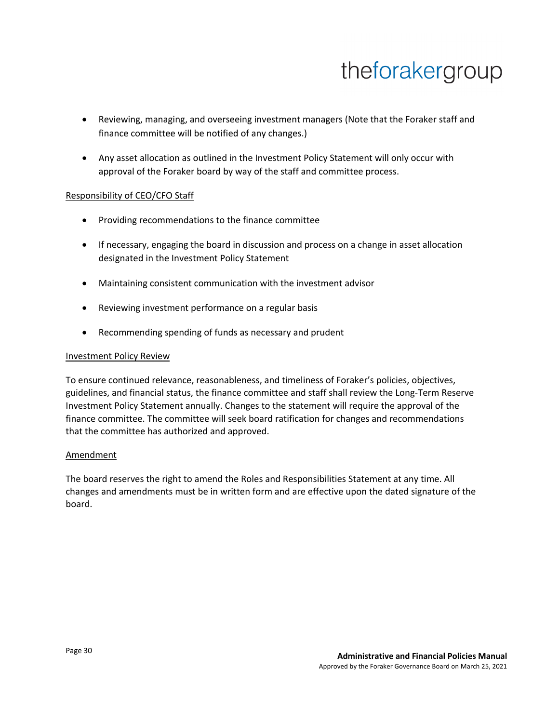- Reviewing, managing, and overseeing investment managers (Note that the Foraker staff and finance committee will be notified of any changes.)
- Any asset allocation as outlined in the Investment Policy Statement will only occur with approval of the Foraker board by way of the staff and committee process.

#### Responsibility of CEO/CFO Staff

- Providing recommendations to the finance committee
- If necessary, engaging the board in discussion and process on a change in asset allocation designated in the Investment Policy Statement
- Maintaining consistent communication with the investment advisor
- Reviewing investment performance on a regular basis
- Recommending spending of funds as necessary and prudent

#### Investment Policy Review

To ensure continued relevance, reasonableness, and timeliness of Foraker's policies, objectives, guidelines, and financial status, the finance committee and staff shall review the Long-Term Reserve Investment Policy Statement annually. Changes to the statement will require the approval of the finance committee. The committee will seek board ratification for changes and recommendations that the committee has authorized and approved.

#### Amendment

The board reserves the right to amend the Roles and Responsibilities Statement at any time. All changes and amendments must be in written form and are effective upon the dated signature of the board.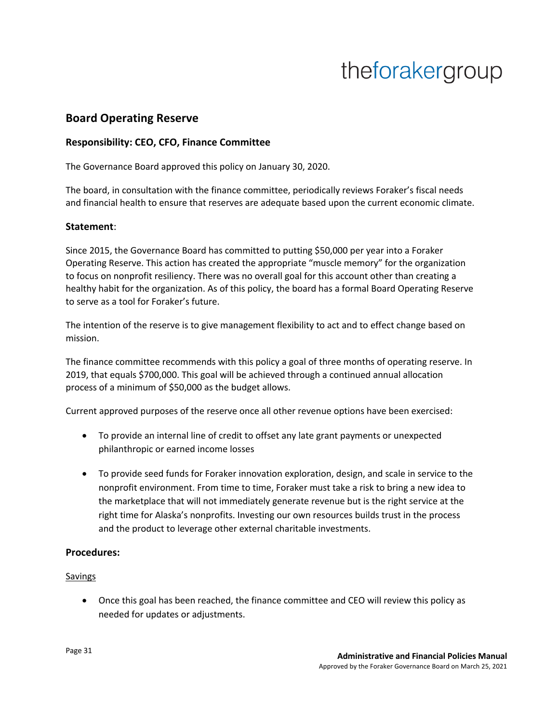## **Board Operating Reserve**

### **Responsibility: CEO, CFO, Finance Committee**

The Governance Board approved this policy on January 30, 2020.

The board, in consultation with the finance committee, periodically reviews Foraker's fiscal needs and financial health to ensure that reserves are adequate based upon the current economic climate.

#### **Statement**:

Since 2015, the Governance Board has committed to putting \$50,000 per year into a Foraker Operating Reserve. This action has created the appropriate "muscle memory" for the organization to focus on nonprofit resiliency. There was no overall goal for this account other than creating a healthy habit for the organization. As of this policy, the board has a formal Board Operating Reserve to serve as a tool for Foraker's future.

The intention of the reserve is to give management flexibility to act and to effect change based on mission.

The finance committee recommends with this policy a goal of three months of operating reserve. In 2019, that equals \$700,000. This goal will be achieved through a continued annual allocation process of a minimum of \$50,000 as the budget allows.

Current approved purposes of the reserve once all other revenue options have been exercised:

- To provide an internal line of credit to offset any late grant payments or unexpected philanthropic or earned income losses
- To provide seed funds for Foraker innovation exploration, design, and scale in service to the nonprofit environment. From time to time, Foraker must take a risk to bring a new idea to the marketplace that will not immediately generate revenue but is the right service at the right time for Alaska's nonprofits. Investing our own resources builds trust in the process and the product to leverage other external charitable investments.

### **Procedures:**

#### Savings

• Once this goal has been reached, the finance committee and CEO will review this policy as needed for updates or adjustments.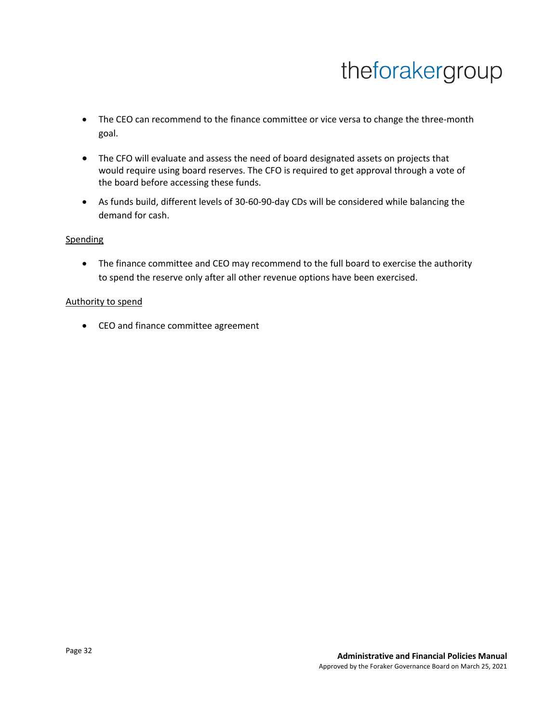- The CEO can recommend to the finance committee or vice versa to change the three-month goal.
- The CFO will evaluate and assess the need of board designated assets on projects that would require using board reserves. The CFO is required to get approval through a vote of the board before accessing these funds.
- As funds build, different levels of 30-60-90-day CDs will be considered while balancing the demand for cash.

#### **Spending**

• The finance committee and CEO may recommend to the full board to exercise the authority to spend the reserve only after all other revenue options have been exercised.

#### Authority to spend

• CEO and finance committee agreement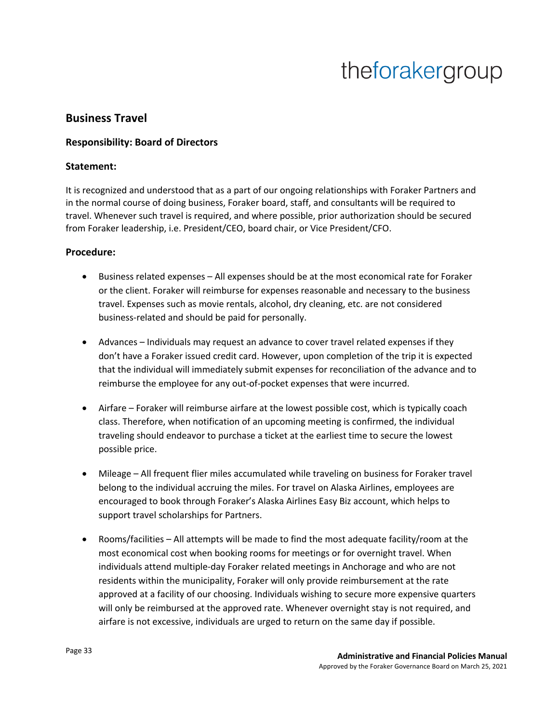### **Business Travel**

### **Responsibility: Board of Directors**

#### **Statement:**

It is recognized and understood that as a part of our ongoing relationships with Foraker Partners and in the normal course of doing business, Foraker board, staff, and consultants will be required to travel. Whenever such travel is required, and where possible, prior authorization should be secured from Foraker leadership, i.e. President/CEO, board chair, or Vice President/CFO.

#### **Procedure:**

- Business related expenses All expenses should be at the most economical rate for Foraker or the client. Foraker will reimburse for expenses reasonable and necessary to the business travel. Expenses such as movie rentals, alcohol, dry cleaning, etc. are not considered business-related and should be paid for personally.
- Advances Individuals may request an advance to cover travel related expenses if they don't have a Foraker issued credit card. However, upon completion of the trip it is expected that the individual will immediately submit expenses for reconciliation of the advance and to reimburse the employee for any out-of-pocket expenses that were incurred.
- Airfare Foraker will reimburse airfare at the lowest possible cost, which is typically coach class. Therefore, when notification of an upcoming meeting is confirmed, the individual traveling should endeavor to purchase a ticket at the earliest time to secure the lowest possible price.
- Mileage All frequent flier miles accumulated while traveling on business for Foraker travel belong to the individual accruing the miles. For travel on Alaska Airlines, employees are encouraged to book through Foraker's Alaska Airlines Easy Biz account, which helps to support travel scholarships for Partners.
- Rooms/facilities All attempts will be made to find the most adequate facility/room at the most economical cost when booking rooms for meetings or for overnight travel. When individuals attend multiple-day Foraker related meetings in Anchorage and who are not residents within the municipality, Foraker will only provide reimbursement at the rate approved at a facility of our choosing. Individuals wishing to secure more expensive quarters will only be reimbursed at the approved rate. Whenever overnight stay is not required, and airfare is not excessive, individuals are urged to return on the same day if possible.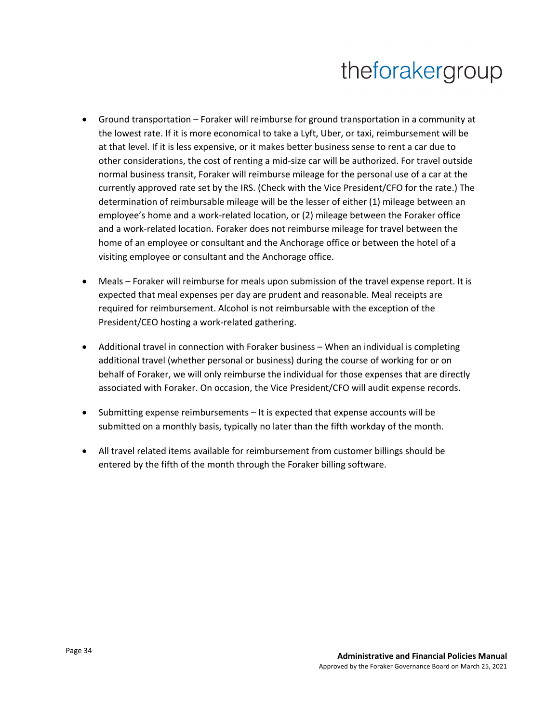- Ground transportation Foraker will reimburse for ground transportation in a community at the lowest rate. If it is more economical to take a Lyft, Uber, or taxi, reimbursement will be at that level. If it is less expensive, or it makes better business sense to rent a car due to other considerations, the cost of renting a mid-size car will be authorized. For travel outside normal business transit, Foraker will reimburse mileage for the personal use of a car at the currently approved rate set by the IRS. (Check with the Vice President/CFO for the rate.) The determination of reimbursable mileage will be the lesser of either (1) mileage between an employee's home and a work-related location, or (2) mileage between the Foraker office and a work-related location. Foraker does not reimburse mileage for travel between the home of an employee or consultant and the Anchorage office or between the hotel of a visiting employee or consultant and the Anchorage office.
- Meals Foraker will reimburse for meals upon submission of the travel expense report. It is expected that meal expenses per day are prudent and reasonable. Meal receipts are required for reimbursement. Alcohol is not reimbursable with the exception of the President/CEO hosting a work-related gathering.
- Additional travel in connection with Foraker business When an individual is completing additional travel (whether personal or business) during the course of working for or on behalf of Foraker, we will only reimburse the individual for those expenses that are directly associated with Foraker. On occasion, the Vice President/CFO will audit expense records.
- Submitting expense reimbursements It is expected that expense accounts will be submitted on a monthly basis, typically no later than the fifth workday of the month.
- All travel related items available for reimbursement from customer billings should be entered by the fifth of the month through the Foraker billing software.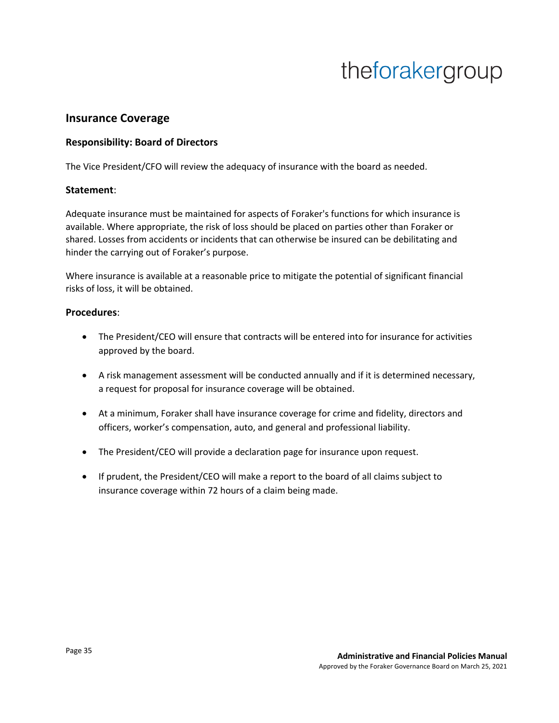### **Insurance Coverage**

### **Responsibility: Board of Directors**

The Vice President/CFO will review the adequacy of insurance with the board as needed.

#### **Statement**:

Adequate insurance must be maintained for aspects of Foraker's functions for which insurance is available. Where appropriate, the risk of loss should be placed on parties other than Foraker or shared. Losses from accidents or incidents that can otherwise be insured can be debilitating and hinder the carrying out of Foraker's purpose.

Where insurance is available at a reasonable price to mitigate the potential of significant financial risks of loss, it will be obtained.

#### **Procedures**:

- The President/CEO will ensure that contracts will be entered into for insurance for activities approved by the board.
- A risk management assessment will be conducted annually and if it is determined necessary, a request for proposal for insurance coverage will be obtained.
- At a minimum, Foraker shall have insurance coverage for crime and fidelity, directors and officers, worker's compensation, auto, and general and professional liability.
- The President/CEO will provide a declaration page for insurance upon request.
- If prudent, the President/CEO will make a report to the board of all claims subject to insurance coverage within 72 hours of a claim being made.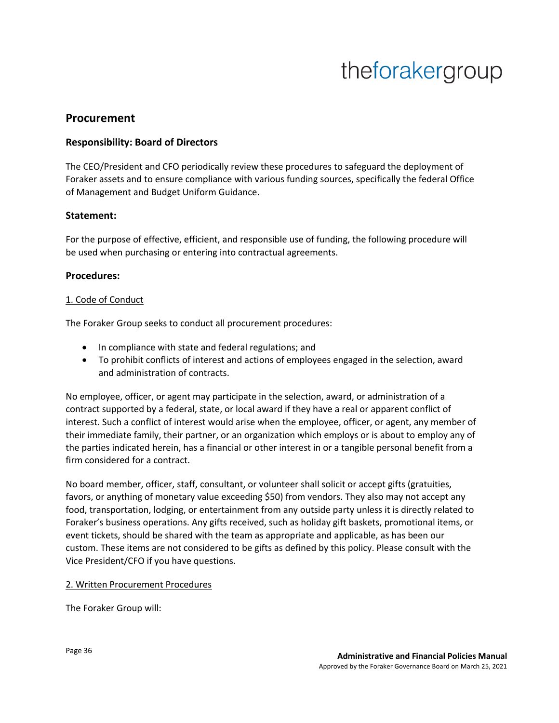### **Procurement**

### **Responsibility: Board of Directors**

The CEO/President and CFO periodically review these procedures to safeguard the deployment of Foraker assets and to ensure compliance with various funding sources, specifically the federal Office of Management and Budget Uniform Guidance.

#### **Statement:**

For the purpose of effective, efficient, and responsible use of funding, the following procedure will be used when purchasing or entering into contractual agreements.

#### **Procedures:**

#### 1. Code of Conduct

The Foraker Group seeks to conduct all procurement procedures:

- In compliance with state and federal regulations; and
- To prohibit conflicts of interest and actions of employees engaged in the selection, award and administration of contracts.

No employee, officer, or agent may participate in the selection, award, or administration of a contract supported by a federal, state, or local award if they have a real or apparent conflict of interest. Such a conflict of interest would arise when the employee, officer, or agent, any member of their immediate family, their partner, or an organization which employs or is about to employ any of the parties indicated herein, has a financial or other interest in or a tangible personal benefit from a firm considered for a contract.

No board member, officer, staff, consultant, or volunteer shall solicit or accept gifts (gratuities, favors, or anything of monetary value exceeding \$50) from vendors. They also may not accept any food, transportation, lodging, or entertainment from any outside party unless it is directly related to Foraker's business operations. Any gifts received, such as holiday gift baskets, promotional items, or event tickets, should be shared with the team as appropriate and applicable, as has been our custom. These items are not considered to be gifts as defined by this policy. Please consult with the Vice President/CFO if you have questions.

#### 2. Written Procurement Procedures

The Foraker Group will: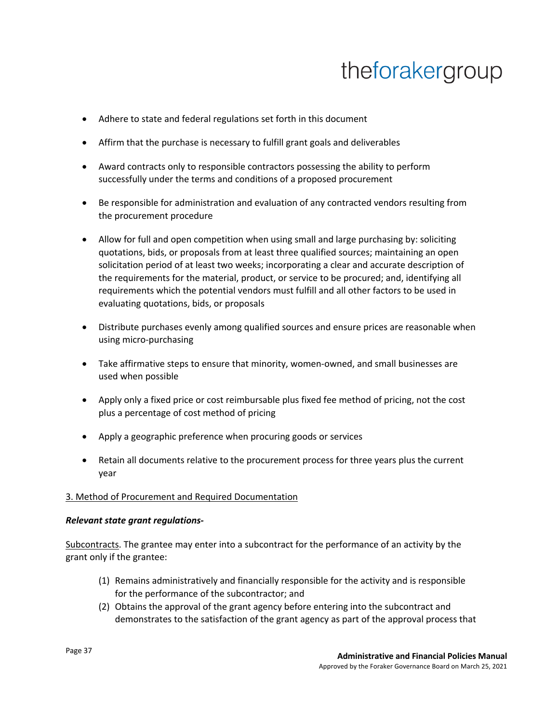- Adhere to state and federal regulations set forth in this document
- Affirm that the purchase is necessary to fulfill grant goals and deliverables
- Award contracts only to responsible contractors possessing the ability to perform successfully under the terms and conditions of a proposed procurement
- Be responsible for administration and evaluation of any contracted vendors resulting from the procurement procedure
- Allow for full and open competition when using small and large purchasing by: soliciting quotations, bids, or proposals from at least three qualified sources; maintaining an open solicitation period of at least two weeks; incorporating a clear and accurate description of the requirements for the material, product, or service to be procured; and, identifying all requirements which the potential vendors must fulfill and all other factors to be used in evaluating quotations, bids, or proposals
- Distribute purchases evenly among qualified sources and ensure prices are reasonable when using micro-purchasing
- Take affirmative steps to ensure that minority, women-owned, and small businesses are used when possible
- Apply only a fixed price or cost reimbursable plus fixed fee method of pricing, not the cost plus a percentage of cost method of pricing
- Apply a geographic preference when procuring goods or services
- Retain all documents relative to the procurement process for three years plus the current year

#### 3. Method of Procurement and Required Documentation

#### *Relevant state grant regulations-*

Subcontracts. The grantee may enter into a subcontract for the performance of an activity by the grant only if the grantee:

- (1) Remains administratively and financially responsible for the activity and is responsible for the performance of the subcontractor; and
- (2) Obtains the approval of the grant agency before entering into the subcontract and demonstrates to the satisfaction of the grant agency as part of the approval process that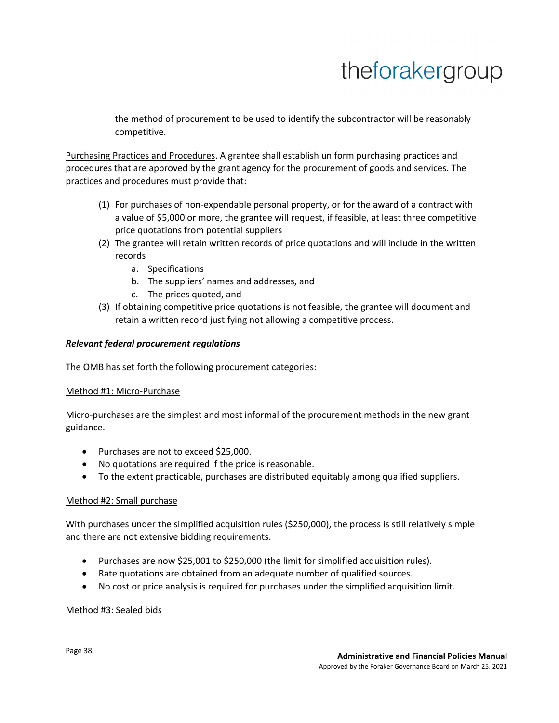the method of procurement to be used to identify the subcontractor will be reasonably competitive.

Purchasing Practices and Procedures. A grantee shall establish uniform purchasing practices and procedures that are approved by the grant agency for the procurement of goods and services. The practices and procedures must provide that:

- (1) For purchases of non-expendable personal property, or for the award of a contract with a value of \$5,000 or more, the grantee will request, if feasible, at least three competitive price quotations from potential suppliers
- (2) The grantee will retain written records of price quotations and will include in the written records
	- a. Specifications
	- b. The suppliers' names and addresses, and
	- c. The prices quoted, and
- (3) If obtaining competitive price quotations is not feasible, the grantee will document and retain a written record justifying not allowing a competitive process.

### *Relevant federal procurement regulations*

The OMB has set forth the following procurement categories:

#### Method #1: Micro-Purchase

Micro-purchases are the simplest and most informal of the procurement methods in the new grant guidance.

- Purchases are not to exceed \$25,000.
- No quotations are required if the price is reasonable.
- To the extent practicable, purchases are distributed equitably among qualified suppliers.

#### Method #2: Small purchase

With purchases under the simplified acquisition rules (\$250,000), the process is still relatively simple and there are not extensive bidding requirements.

- Purchases are now \$25,001 to \$250,000 (the limit for simplified acquisition rules).
- Rate quotations are obtained from an adequate number of qualified sources.
- No cost or price analysis is required for purchases under the simplified acquisition limit.

#### Method #3: Sealed bids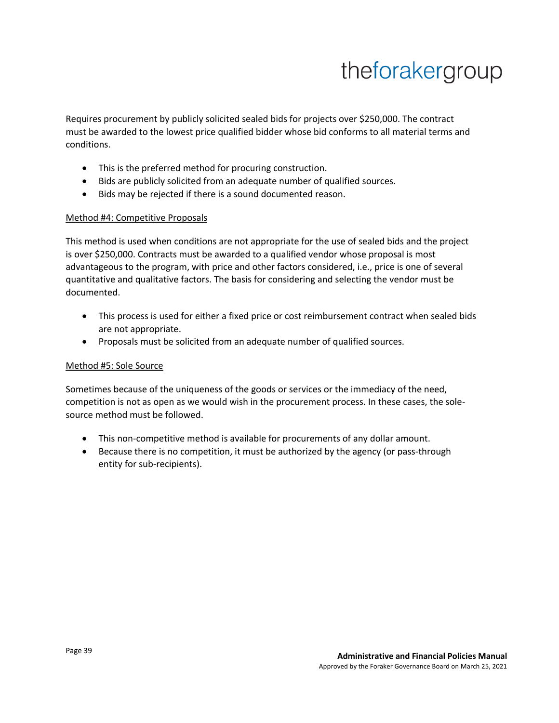Requires procurement by publicly solicited sealed bids for projects over \$250,000. The contract must be awarded to the lowest price qualified bidder whose bid conforms to all material terms and conditions.

- This is the preferred method for procuring construction.
- Bids are publicly solicited from an adequate number of qualified sources.
- Bids may be rejected if there is a sound documented reason.

#### Method #4: Competitive Proposals

This method is used when conditions are not appropriate for the use of sealed bids and the project is over \$250,000. Contracts must be awarded to a qualified vendor whose proposal is most advantageous to the program, with price and other factors considered, i.e., price is one of several quantitative and qualitative factors. The basis for considering and selecting the vendor must be documented.

- This process is used for either a fixed price or cost reimbursement contract when sealed bids are not appropriate.
- Proposals must be solicited from an adequate number of qualified sources.

### Method #5: Sole Source

Sometimes because of the uniqueness of the goods or services or the immediacy of the need, competition is not as open as we would wish in the procurement process. In these cases, the solesource method must be followed.

- This non-competitive method is available for procurements of any dollar amount.
- Because there is no competition, it must be authorized by the agency (or pass-through entity for sub-recipients).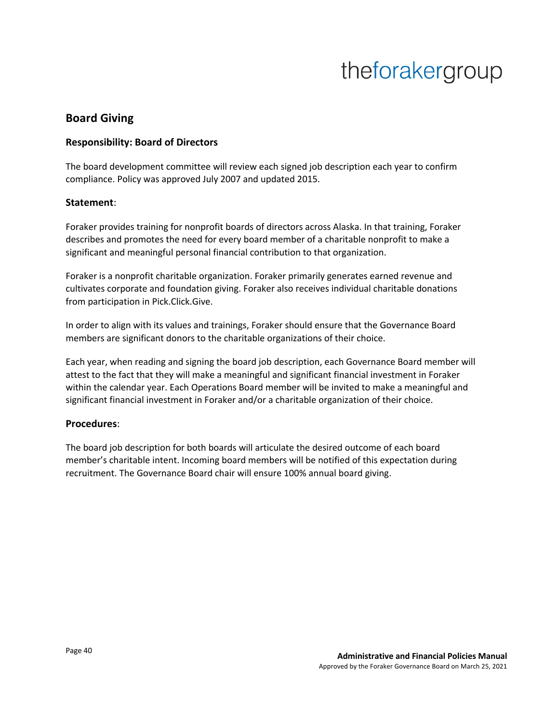### **Board Giving**

### **Responsibility: Board of Directors**

The board development committee will review each signed job description each year to confirm compliance. Policy was approved July 2007 and updated 2015.

#### **Statement**:

Foraker provides training for nonprofit boards of directors across Alaska. In that training, Foraker describes and promotes the need for every board member of a charitable nonprofit to make a significant and meaningful personal financial contribution to that organization.

Foraker is a nonprofit charitable organization. Foraker primarily generates earned revenue and cultivates corporate and foundation giving. Foraker also receives individual charitable donations from participation in Pick.Click.Give.

In order to align with its values and trainings, Foraker should ensure that the Governance Board members are significant donors to the charitable organizations of their choice.

Each year, when reading and signing the board job description, each Governance Board member will attest to the fact that they will make a meaningful and significant financial investment in Foraker within the calendar year. Each Operations Board member will be invited to make a meaningful and significant financial investment in Foraker and/or a charitable organization of their choice.

#### **Procedures**:

The board job description for both boards will articulate the desired outcome of each board member's charitable intent. Incoming board members will be notified of this expectation during recruitment. The Governance Board chair will ensure 100% annual board giving.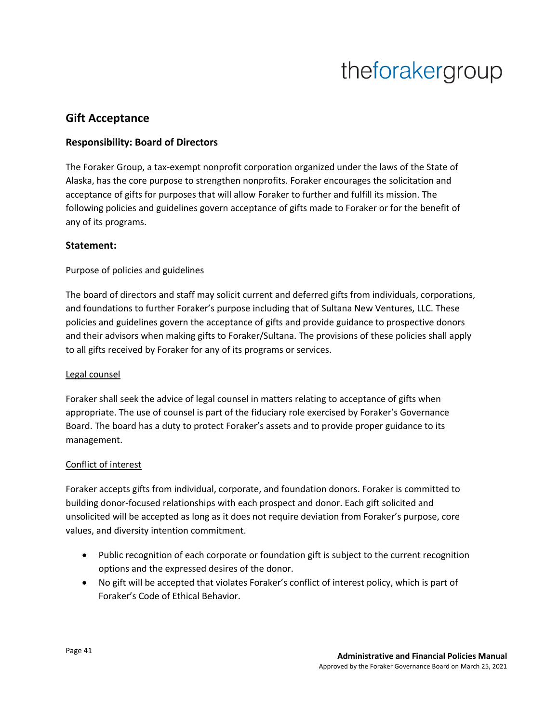### **Gift Acceptance**

### **Responsibility: Board of Directors**

The Foraker Group, a tax-exempt nonprofit corporation organized under the laws of the State of Alaska, has the core purpose to strengthen nonprofits. Foraker encourages the solicitation and acceptance of gifts for purposes that will allow Foraker to further and fulfill its mission. The following policies and guidelines govern acceptance of gifts made to Foraker or for the benefit of any of its programs.

### **Statement:**

#### Purpose of policies and guidelines

The board of directors and staff may solicit current and deferred gifts from individuals, corporations, and foundations to further Foraker's purpose including that of Sultana New Ventures, LLC. These policies and guidelines govern the acceptance of gifts and provide guidance to prospective donors and their advisors when making gifts to Foraker/Sultana. The provisions of these policies shall apply to all gifts received by Foraker for any of its programs or services.

#### Legal counsel

Foraker shall seek the advice of legal counsel in matters relating to acceptance of gifts when appropriate. The use of counsel is part of the fiduciary role exercised by Foraker's Governance Board. The board has a duty to protect Foraker's assets and to provide proper guidance to its management.

### Conflict of interest

Foraker accepts gifts from individual, corporate, and foundation donors. Foraker is committed to building donor-focused relationships with each prospect and donor. Each gift solicited and unsolicited will be accepted as long as it does not require deviation from Foraker's purpose, core values, and diversity intention commitment.

- Public recognition of each corporate or foundation gift is subject to the current recognition options and the expressed desires of the donor.
- No gift will be accepted that violates Foraker's conflict of interest policy, which is part of Foraker's Code of Ethical Behavior.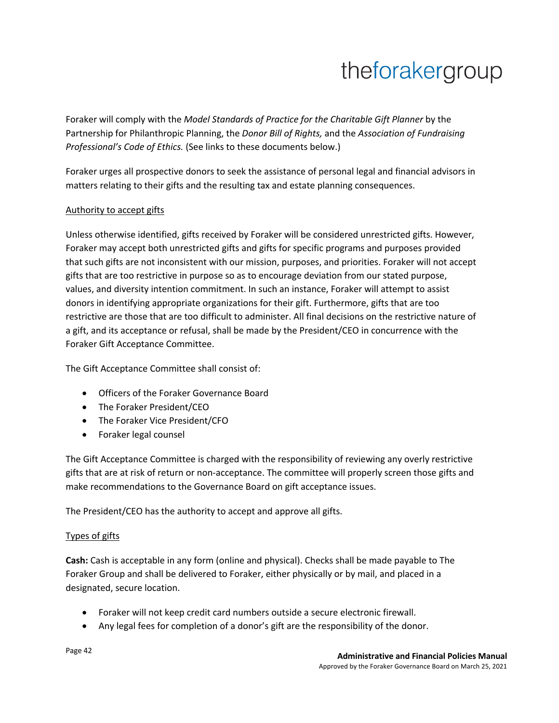Foraker will comply with the *Model Standards of Practice for the Charitable Gift Planner* by the Partnership for Philanthropic Planning, the *Donor Bill of Rights,* and the *Association of Fundraising Professional's Code of Ethics.* (See links to these documents below.)

Foraker urges all prospective donors to seek the assistance of personal legal and financial advisors in matters relating to their gifts and the resulting tax and estate planning consequences.

### Authority to accept gifts

Unless otherwise identified, gifts received by Foraker will be considered unrestricted gifts. However, Foraker may accept both unrestricted gifts and gifts for specific programs and purposes provided that such gifts are not inconsistent with our mission, purposes, and priorities. Foraker will not accept gifts that are too restrictive in purpose so as to encourage deviation from our stated purpose, values, and diversity intention commitment. In such an instance, Foraker will attempt to assist donors in identifying appropriate organizations for their gift. Furthermore, gifts that are too restrictive are those that are too difficult to administer. All final decisions on the restrictive nature of a gift, and its acceptance or refusal, shall be made by the President/CEO in concurrence with the Foraker Gift Acceptance Committee.

The Gift Acceptance Committee shall consist of:

- Officers of the Foraker Governance Board
- The Foraker President/CEO
- The Foraker Vice President/CFO
- Foraker legal counsel

The Gift Acceptance Committee is charged with the responsibility of reviewing any overly restrictive gifts that are at risk of return or non-acceptance. The committee will properly screen those gifts and make recommendations to the Governance Board on gift acceptance issues.

The President/CEO has the authority to accept and approve all gifts.

#### Types of gifts

**Cash:** Cash is acceptable in any form (online and physical). Checks shall be made payable to The Foraker Group and shall be delivered to Foraker, either physically or by mail, and placed in a designated, secure location.

- Foraker will not keep credit card numbers outside a secure electronic firewall.
- Any legal fees for completion of a donor's gift are the responsibility of the donor.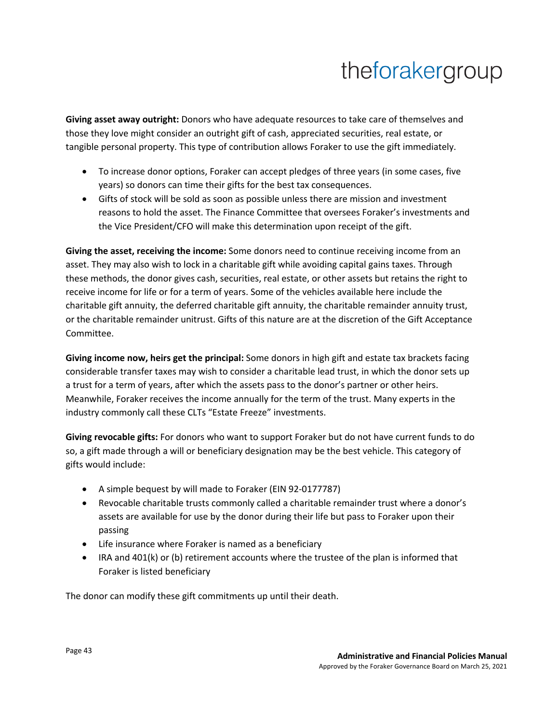**Giving asset away outright:** Donors who have adequate resources to take care of themselves and those they love might consider an outright gift of cash, appreciated securities, real estate, or tangible personal property. This type of contribution allows Foraker to use the gift immediately.

- To increase donor options, Foraker can accept pledges of three years (in some cases, five years) so donors can time their gifts for the best tax consequences.
- Gifts of stock will be sold as soon as possible unless there are mission and investment reasons to hold the asset. The Finance Committee that oversees Foraker's investments and the Vice President/CFO will make this determination upon receipt of the gift.

**Giving the asset, receiving the income:** Some donors need to continue receiving income from an asset. They may also wish to lock in a charitable gift while avoiding capital gains taxes. Through these methods, the donor gives cash, securities, real estate, or other assets but retains the right to receive income for life or for a term of years. Some of the vehicles available here include the charitable gift annuity, the deferred charitable gift annuity, the charitable remainder annuity trust, or the charitable remainder unitrust. Gifts of this nature are at the discretion of the Gift Acceptance Committee.

**Giving income now, heirs get the principal:** Some donors in high gift and estate tax brackets facing considerable transfer taxes may wish to consider a charitable lead trust, in which the donor sets up a trust for a term of years, after which the assets pass to the donor's partner or other heirs. Meanwhile, Foraker receives the income annually for the term of the trust. Many experts in the industry commonly call these CLTs "Estate Freeze" investments.

**Giving revocable gifts:** For donors who want to support Foraker but do not have current funds to do so, a gift made through a will or beneficiary designation may be the best vehicle. This category of gifts would include:

- A simple bequest by will made to Foraker (EIN 92-0177787)
- Revocable charitable trusts commonly called a charitable remainder trust where a donor's assets are available for use by the donor during their life but pass to Foraker upon their passing
- Life insurance where Foraker is named as a beneficiary
- IRA and 401(k) or (b) retirement accounts where the trustee of the plan is informed that Foraker is listed beneficiary

The donor can modify these gift commitments up until their death.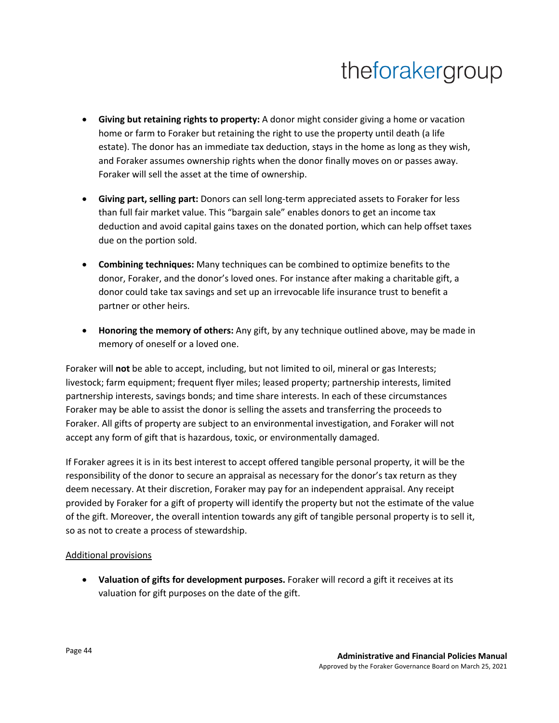- **Giving but retaining rights to property:** A donor might consider giving a home or vacation home or farm to Foraker but retaining the right to use the property until death (a life estate). The donor has an immediate tax deduction, stays in the home as long as they wish, and Foraker assumes ownership rights when the donor finally moves on or passes away. Foraker will sell the asset at the time of ownership.
- **Giving part, selling part:** Donors can sell long-term appreciated assets to Foraker for less than full fair market value. This "bargain sale" enables donors to get an income tax deduction and avoid capital gains taxes on the donated portion, which can help offset taxes due on the portion sold.
- **Combining techniques:** Many techniques can be combined to optimize benefits to the donor, Foraker, and the donor's loved ones. For instance after making a charitable gift, a donor could take tax savings and set up an irrevocable life insurance trust to benefit a partner or other heirs.
- **Honoring the memory of others:** Any gift, by any technique outlined above, may be made in memory of oneself or a loved one.

Foraker will **not** be able to accept, including, but not limited to oil, mineral or gas Interests; livestock; farm equipment; frequent flyer miles; leased property; partnership interests, limited partnership interests, savings bonds; and time share interests. In each of these circumstances Foraker may be able to assist the donor is selling the assets and transferring the proceeds to Foraker. All gifts of property are subject to an environmental investigation, and Foraker will not accept any form of gift that is hazardous, toxic, or environmentally damaged.

If Foraker agrees it is in its best interest to accept offered tangible personal property, it will be the responsibility of the donor to secure an appraisal as necessary for the donor's tax return as they deem necessary. At their discretion, Foraker may pay for an independent appraisal. Any receipt provided by Foraker for a gift of property will identify the property but not the estimate of the value of the gift. Moreover, the overall intention towards any gift of tangible personal property is to sell it, so as not to create a process of stewardship.

### Additional provisions

• **Valuation of gifts for development purposes.** Foraker will record a gift it receives at its valuation for gift purposes on the date of the gift.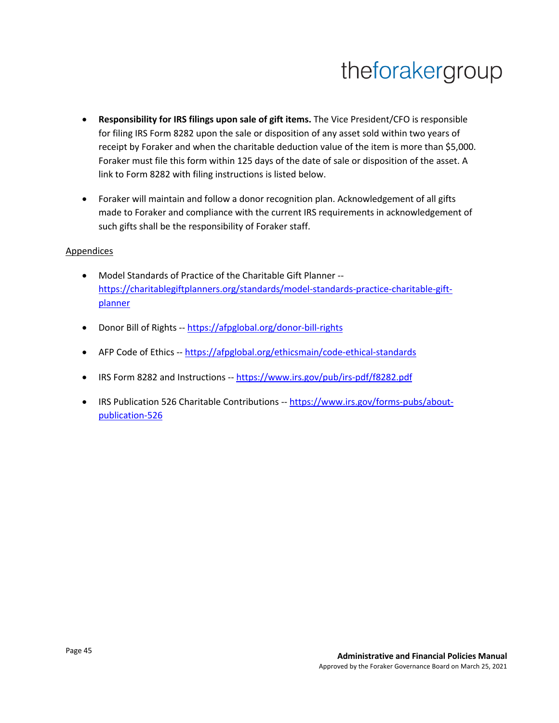- **Responsibility for IRS filings upon sale of gift items.** The Vice President/CFO is responsible for filing IRS Form 8282 upon the sale or disposition of any asset sold within two years of receipt by Foraker and when the charitable deduction value of the item is more than \$5,000. Foraker must file this form within 125 days of the date of sale or disposition of the asset. A link to Form 8282 with filing instructions is listed below.
- Foraker will maintain and follow a donor recognition plan. Acknowledgement of all gifts made to Foraker and compliance with the current IRS requirements in acknowledgement of such gifts shall be the responsibility of Foraker staff.

#### **Appendices**

- Model Standards of Practice of the Charitable Gift Planner https://charitablegiftplanners.org/standards/model-standards-practice-charitable-giftplanner
- Donor Bill of Rights -- https://afpglobal.org/donor-bill-rights
- AFP Code of Ethics -- https://afpglobal.org/ethicsmain/code-ethical-standards
- IRS Form 8282 and Instructions -- https://www.irs.gov/pub/irs-pdf/f8282.pdf
- IRS Publication 526 Charitable Contributions -- https://www.irs.gov/forms-pubs/aboutpublication-526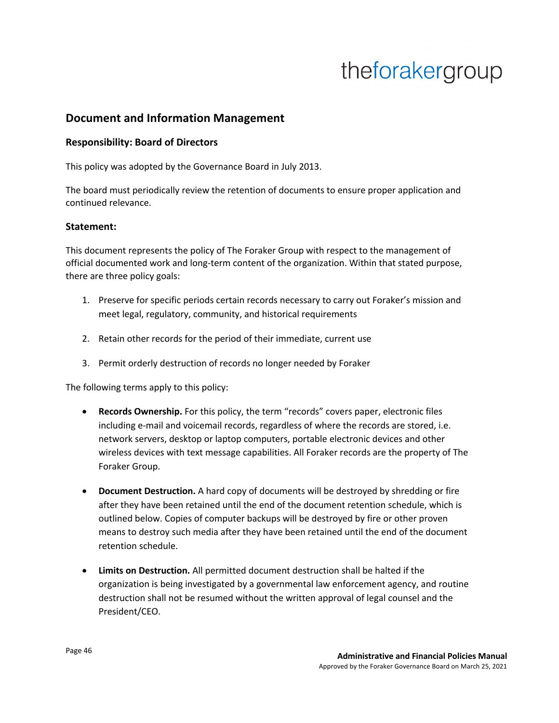## **Document and Information Management**

#### **Responsibility: Board of Directors**

This policy was adopted by the Governance Board in July 2013.

The board must periodically review the retention of documents to ensure proper application and continued relevance.

#### **Statement:**

This document represents the policy of The Foraker Group with respect to the management of official documented work and long-term content of the organization. Within that stated purpose, there are three policy goals:

- 1. Preserve for specific periods certain records necessary to carry out Foraker's mission and meet legal, regulatory, community, and historical requirements
- 2. Retain other records for the period of their immediate, current use
- 3. Permit orderly destruction of records no longer needed by Foraker

The following terms apply to this policy:

- **Records Ownership.** For this policy, the term "records" covers paper, electronic files including e-mail and voicemail records, regardless of where the records are stored, i.e. network servers, desktop or laptop computers, portable electronic devices and other wireless devices with text message capabilities. All Foraker records are the property of The Foraker Group.
- **Document Destruction.** A hard copy of documents will be destroyed by shredding or fire after they have been retained until the end of the document retention schedule, which is outlined below. Copies of computer backups will be destroyed by fire or other proven means to destroy such media after they have been retained until the end of the document retention schedule.
- **Limits on Destruction.** All permitted document destruction shall be halted if the organization is being investigated by a governmental law enforcement agency, and routine destruction shall not be resumed without the written approval of legal counsel and the President/CEO.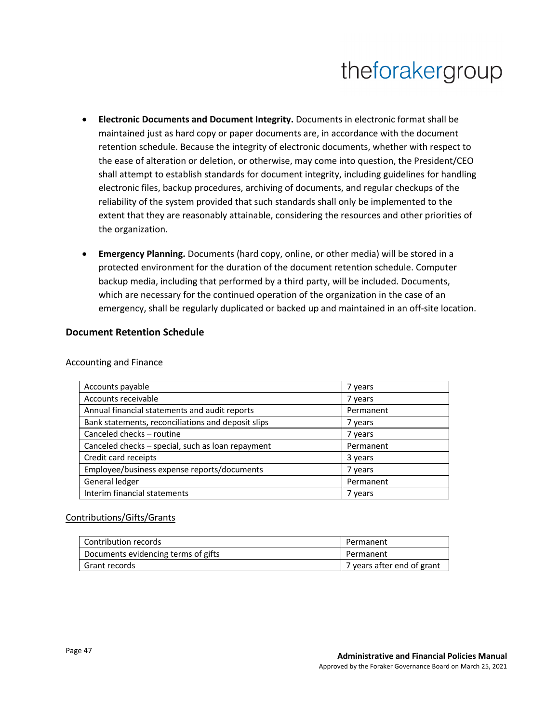- **Electronic Documents and Document Integrity.** Documents in electronic format shall be maintained just as hard copy or paper documents are, in accordance with the document retention schedule. Because the integrity of electronic documents, whether with respect to the ease of alteration or deletion, or otherwise, may come into question, the President/CEO shall attempt to establish standards for document integrity, including guidelines for handling electronic files, backup procedures, archiving of documents, and regular checkups of the reliability of the system provided that such standards shall only be implemented to the extent that they are reasonably attainable, considering the resources and other priorities of the organization.
- **Emergency Planning.** Documents (hard copy, online, or other media) will be stored in a protected environment for the duration of the document retention schedule. Computer backup media, including that performed by a third party, will be included. Documents, which are necessary for the continued operation of the organization in the case of an emergency, shall be regularly duplicated or backed up and maintained in an off-site location.

#### **Document Retention Schedule**

| Accounts payable                                   | 7 years   |
|----------------------------------------------------|-----------|
| Accounts receivable                                | 7 years   |
| Annual financial statements and audit reports      | Permanent |
| Bank statements, reconciliations and deposit slips | 7 years   |
| Canceled checks - routine                          | 7 years   |
| Canceled checks - special, such as loan repayment  | Permanent |
| Credit card receipts                               | 3 years   |
| Employee/business expense reports/documents        | 7 years   |
| General ledger                                     | Permanent |
| Interim financial statements                       | 7 years   |

#### Accounting and Finance

#### Contributions/Gifts/Grants

| Contribution records                | Permanent                  |
|-------------------------------------|----------------------------|
| Documents evidencing terms of gifts | Permanent                  |
| Grant records                       | 7 years after end of grant |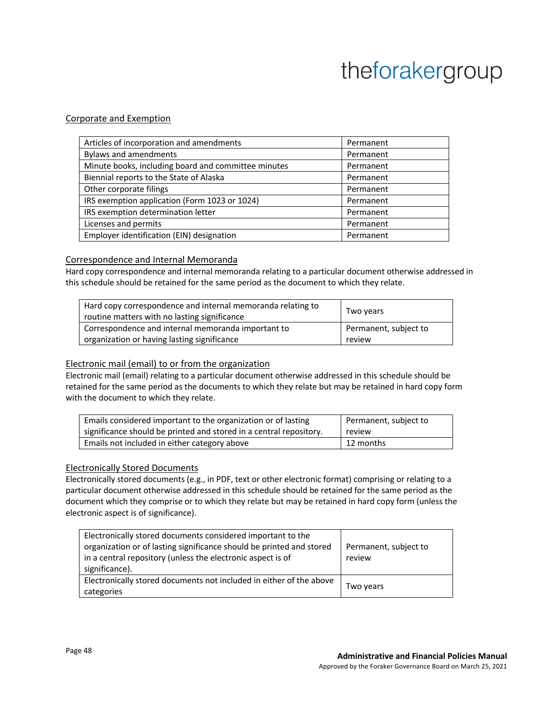#### Corporate and Exemption

| Articles of incorporation and amendments            | Permanent |
|-----------------------------------------------------|-----------|
| Bylaws and amendments                               | Permanent |
| Minute books, including board and committee minutes | Permanent |
| Biennial reports to the State of Alaska             | Permanent |
| Other corporate filings                             | Permanent |
| IRS exemption application (Form 1023 or 1024)       | Permanent |
| IRS exemption determination letter                  | Permanent |
| Licenses and permits                                | Permanent |
| Employer identification (EIN) designation           | Permanent |

#### Correspondence and Internal Memoranda

Hard copy correspondence and internal memoranda relating to a particular document otherwise addressed in this schedule should be retained for the same period as the document to which they relate.

| Hard copy correspondence and internal memoranda relating to<br>routine matters with no lasting significance | Two years             |
|-------------------------------------------------------------------------------------------------------------|-----------------------|
| Correspondence and internal memoranda important to                                                          | Permanent, subject to |
| organization or having lasting significance                                                                 | review                |

#### Electronic mail (email) to or from the organization

Electronic mail (email) relating to a particular document otherwise addressed in this schedule should be retained for the same period as the documents to which they relate but may be retained in hard copy form with the document to which they relate.

| Emails considered important to the organization or of lasting      | Permanent, subject to |
|--------------------------------------------------------------------|-----------------------|
| significance should be printed and stored in a central repository. | review                |
| Emails not included in either category above                       | 12 months             |

#### Electronically Stored Documents

Electronically stored documents (e.g., in PDF, text or other electronic format) comprising or relating to a particular document otherwise addressed in this schedule should be retained for the same period as the document which they comprise or to which they relate but may be retained in hard copy form (unless the electronic aspect is of significance).

| Electronically stored documents considered important to the<br>organization or of lasting significance should be printed and stored<br>in a central repository (unless the electronic aspect is of<br>significance). | Permanent, subject to<br>review |
|----------------------------------------------------------------------------------------------------------------------------------------------------------------------------------------------------------------------|---------------------------------|
| Electronically stored documents not included in either of the above<br>categories                                                                                                                                    | Two years                       |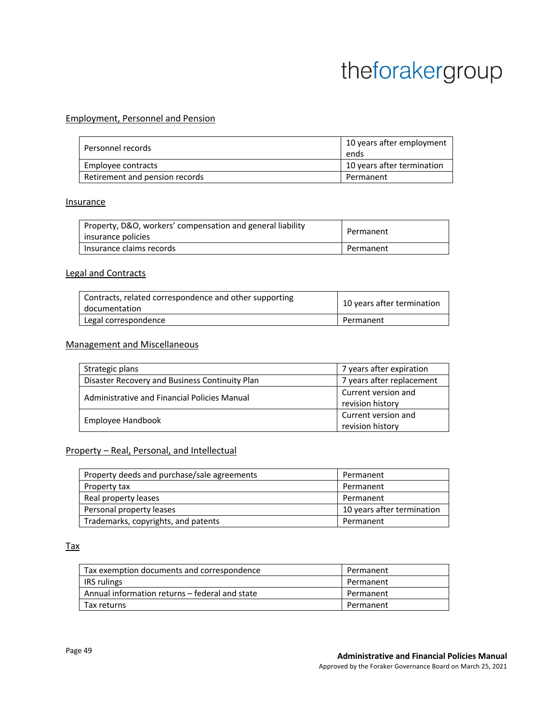#### Employment, Personnel and Pension

| Personnel records              | 10 years after employment<br>ends |
|--------------------------------|-----------------------------------|
| Employee contracts             | 10 years after termination        |
| Retirement and pension records | Permanent                         |

#### Insurance

| Property, D&O, workers' compensation and general liability<br>insurance policies | Permanent |
|----------------------------------------------------------------------------------|-----------|
| Insurance claims records                                                         | Permanent |

#### Legal and Contracts

| Contracts, related correspondence and other supporting<br>documentation | 10 years after termination |
|-------------------------------------------------------------------------|----------------------------|
| Legal correspondence                                                    | Permanent                  |

#### Management and Miscellaneous

| Strategic plans                                | 7 years after expiration                |
|------------------------------------------------|-----------------------------------------|
| Disaster Recovery and Business Continuity Plan | 7 years after replacement               |
| Administrative and Financial Policies Manual   | Current version and<br>revision history |
| Employee Handbook                              | Current version and<br>revision history |

#### Property – Real, Personal, and Intellectual

| Property deeds and purchase/sale agreements | Permanent                  |
|---------------------------------------------|----------------------------|
| Property tax                                | Permanent                  |
| Real property leases                        | Permanent                  |
| Personal property leases                    | 10 years after termination |
| Trademarks, copyrights, and patents         | Permanent                  |

#### Tax

| Tax exemption documents and correspondence     | Permanent |
|------------------------------------------------|-----------|
| IRS rulings                                    | Permanent |
| Annual information returns – federal and state | Permanent |
| Tax returns                                    | Permanent |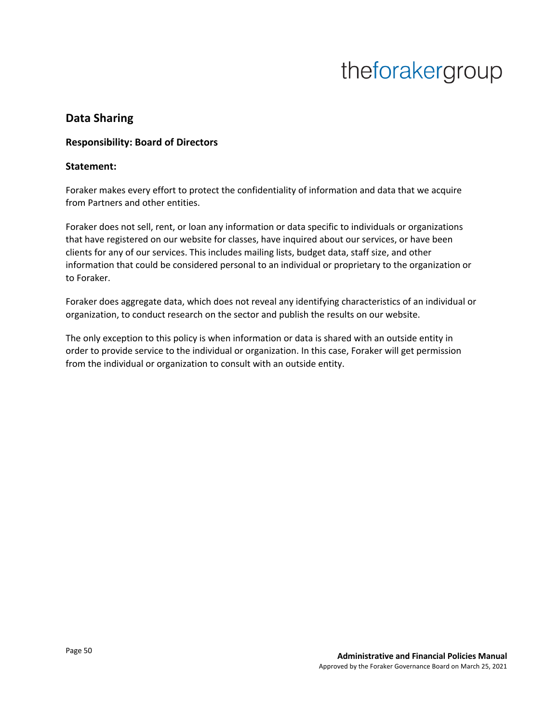## **Data Sharing**

### **Responsibility: Board of Directors**

#### **Statement:**

Foraker makes every effort to protect the confidentiality of information and data that we acquire from Partners and other entities.

Foraker does not sell, rent, or loan any information or data specific to individuals or organizations that have registered on our website for classes, have inquired about our services, or have been clients for any of our services. This includes mailing lists, budget data, staff size, and other information that could be considered personal to an individual or proprietary to the organization or to Foraker.

Foraker does aggregate data, which does not reveal any identifying characteristics of an individual or organization, to conduct research on the sector and publish the results on our website.

The only exception to this policy is when information or data is shared with an outside entity in order to provide service to the individual or organization. In this case, Foraker will get permission from the individual or organization to consult with an outside entity.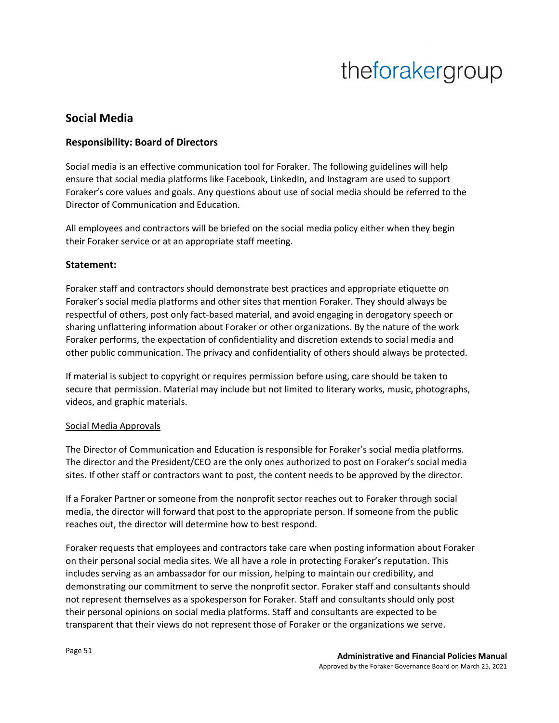## **Social Media**

### **Responsibility: Board of Directors**

Social media is an effective communication tool for Foraker. The following guidelines will help ensure that social media platforms like Facebook, LinkedIn, and Instagram are used to support Foraker's core values and goals. Any questions about use of social media should be referred to the Director of Communication and Education.

All employees and contractors will be briefed on the social media policy either when they begin their Foraker service or at an appropriate staff meeting.

### **Statement:**

Foraker staff and contractors should demonstrate best practices and appropriate etiquette on Foraker's social media platforms and other sites that mention Foraker. They should always be respectful of others, post only fact-based material, and avoid engaging in derogatory speech or sharing unflattering information about Foraker or other organizations. By the nature of the work Foraker performs, the expectation of confidentiality and discretion extends to social media and other public communication. The privacy and confidentiality of others should always be protected.

If material is subject to copyright or requires permission before using, care should be taken to secure that permission. Material may include but not limited to literary works, music, photographs, videos, and graphic materials.

#### Social Media Approvals

The Director of Communication and Education is responsible for Foraker's social media platforms. The director and the President/CEO are the only ones authorized to post on Foraker's social media sites. If other staff or contractors want to post, the content needs to be approved by the director.

If a Foraker Partner or someone from the nonprofit sector reaches out to Foraker through social media, the director will forward that post to the appropriate person. If someone from the public reaches out, the director will determine how to best respond.

Foraker requests that employees and contractors take care when posting information about Foraker on their personal social media sites. We all have a role in protecting Foraker's reputation. This includes serving as an ambassador for our mission, helping to maintain our credibility, and demonstrating our commitment to serve the nonprofit sector. Foraker staff and consultants should not represent themselves as a spokesperson for Foraker. Staff and consultants should only post their personal opinions on social media platforms. Staff and consultants are expected to be transparent that their views do not represent those of Foraker or the organizations we serve.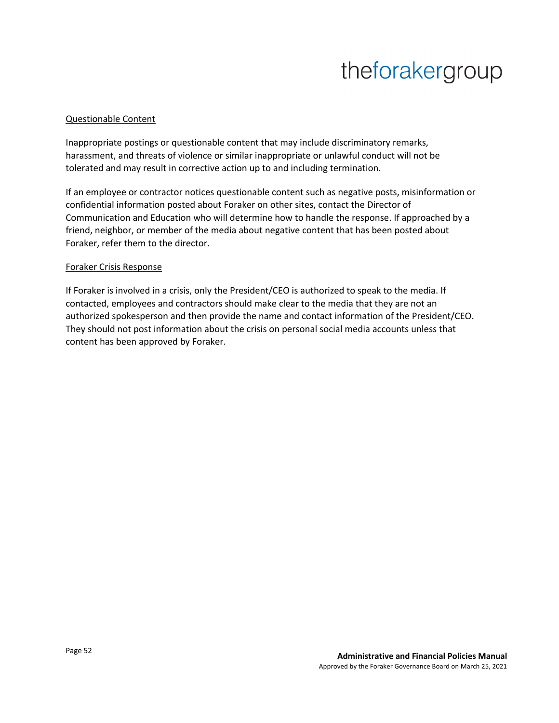#### Questionable Content

Inappropriate postings or questionable content that may include discriminatory remarks, harassment, and threats of violence or similar inappropriate or unlawful conduct will not be tolerated and may result in corrective action up to and including termination.

If an employee or contractor notices questionable content such as negative posts, misinformation or confidential information posted about Foraker on other sites, contact the Director of Communication and Education who will determine how to handle the response. If approached by a friend, neighbor, or member of the media about negative content that has been posted about Foraker, refer them to the director.

#### Foraker Crisis Response

If Foraker is involved in a crisis, only the President/CEO is authorized to speak to the media. If contacted, employees and contractors should make clear to the media that they are not an authorized spokesperson and then provide the name and contact information of the President/CEO. They should not post information about the crisis on personal social media accounts unless that content has been approved by Foraker.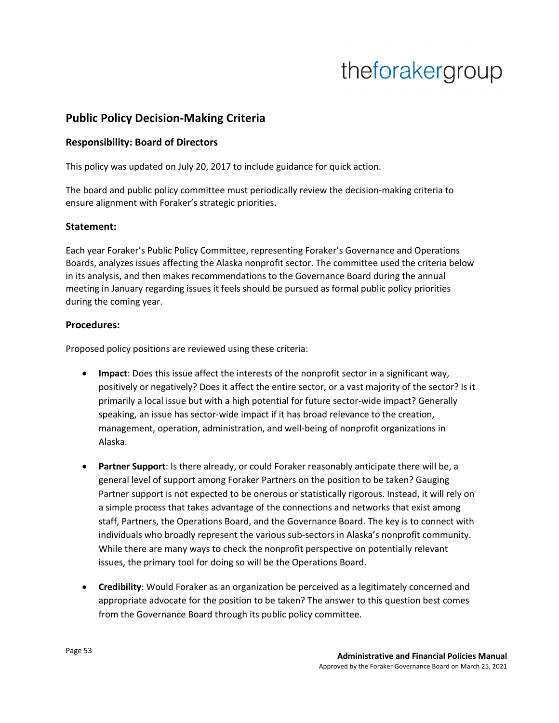## **Public Policy Decision-Making Criteria**

#### **Responsibility: Board of Directors**

This policy was updated on July 20, 2017 to include guidance for quick action.

The board and public policy committee must periodically review the decision-making criteria to ensure alignment with Foraker's strategic priorities.

#### **Statement:**

Each year Foraker's Public Policy Committee, representing Foraker's Governance and Operations Boards, analyzes issues affecting the Alaska nonprofit sector. The committee used the criteria below in its analysis, and then makes recommendations to the Governance Board during the annual meeting in January regarding issues it feels should be pursued as formal public policy priorities during the coming year.

#### **Procedures:**

Proposed policy positions are reviewed using these criteria:

- **Impact**: Does this issue affect the interests of the nonprofit sector in a significant way, positively or negatively? Does it affect the entire sector, or a vast majority of the sector? Is it primarily a local issue but with a high potential for future sector-wide impact? Generally speaking, an issue has sector-wide impact if it has broad relevance to the creation, management, operation, administration, and well-being of nonprofit organizations in Alaska.
- **Partner Support**: Is there already, or could Foraker reasonably anticipate there will be, a general level of support among Foraker Partners on the position to be taken? Gauging Partner support is not expected to be onerous or statistically rigorous. Instead, it will rely on a simple process that takes advantage of the connections and networks that exist among staff, Partners, the Operations Board, and the Governance Board. The key is to connect with individuals who broadly represent the various sub-sectors in Alaska's nonprofit community. While there are many ways to check the nonprofit perspective on potentially relevant issues, the primary tool for doing so will be the Operations Board.
- **Credibility**: Would Foraker as an organization be perceived as a legitimately concerned and appropriate advocate for the position to be taken? The answer to this question best comes from the Governance Board through its public policy committee.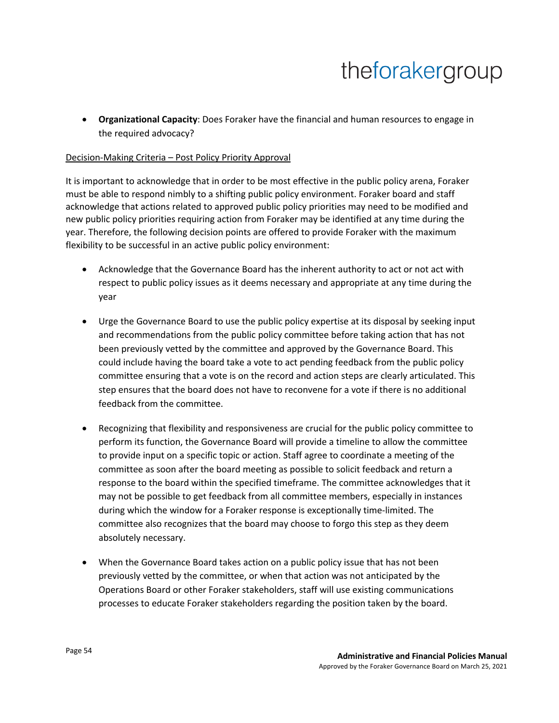• **Organizational Capacity**: Does Foraker have the financial and human resources to engage in the required advocacy?

#### Decision-Making Criteria – Post Policy Priority Approval

It is important to acknowledge that in order to be most effective in the public policy arena, Foraker must be able to respond nimbly to a shifting public policy environment. Foraker board and staff acknowledge that actions related to approved public policy priorities may need to be modified and new public policy priorities requiring action from Foraker may be identified at any time during the year. Therefore, the following decision points are offered to provide Foraker with the maximum flexibility to be successful in an active public policy environment:

- Acknowledge that the Governance Board has the inherent authority to act or not act with respect to public policy issues as it deems necessary and appropriate at any time during the year
- Urge the Governance Board to use the public policy expertise at its disposal by seeking input and recommendations from the public policy committee before taking action that has not been previously vetted by the committee and approved by the Governance Board. This could include having the board take a vote to act pending feedback from the public policy committee ensuring that a vote is on the record and action steps are clearly articulated. This step ensures that the board does not have to reconvene for a vote if there is no additional feedback from the committee.
- Recognizing that flexibility and responsiveness are crucial for the public policy committee to perform its function, the Governance Board will provide a timeline to allow the committee to provide input on a specific topic or action. Staff agree to coordinate a meeting of the committee as soon after the board meeting as possible to solicit feedback and return a response to the board within the specified timeframe. The committee acknowledges that it may not be possible to get feedback from all committee members, especially in instances during which the window for a Foraker response is exceptionally time-limited. The committee also recognizes that the board may choose to forgo this step as they deem absolutely necessary.
- When the Governance Board takes action on a public policy issue that has not been previously vetted by the committee, or when that action was not anticipated by the Operations Board or other Foraker stakeholders, staff will use existing communications processes to educate Foraker stakeholders regarding the position taken by the board.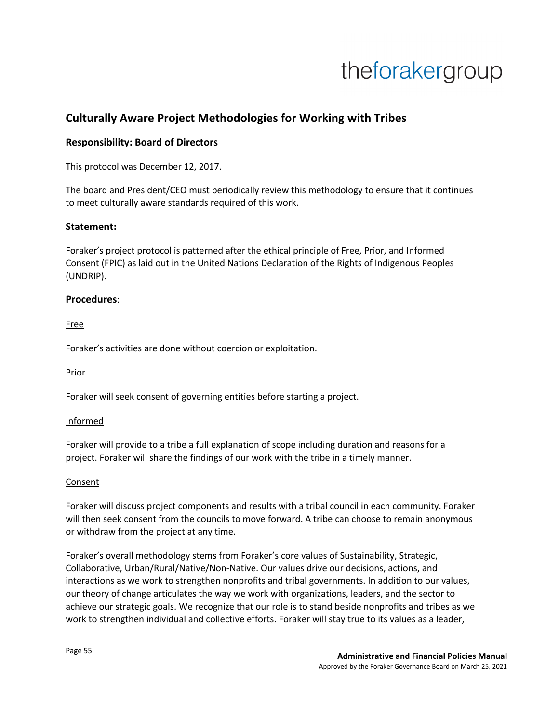## **Culturally Aware Project Methodologies for Working with Tribes**

### **Responsibility: Board of Directors**

This protocol was December 12, 2017.

The board and President/CEO must periodically review this methodology to ensure that it continues to meet culturally aware standards required of this work.

#### **Statement:**

Foraker's project protocol is patterned after the ethical principle of Free, Prior, and Informed Consent (FPIC) as laid out in the United Nations Declaration of the Rights of Indigenous Peoples (UNDRIP).

#### **Procedures**:

Free

Foraker's activities are done without coercion or exploitation.

Prior

Foraker will seek consent of governing entities before starting a project.

#### Informed

Foraker will provide to a tribe a full explanation of scope including duration and reasons for a project. Foraker will share the findings of our work with the tribe in a timely manner.

#### Consent

Foraker will discuss project components and results with a tribal council in each community. Foraker will then seek consent from the councils to move forward. A tribe can choose to remain anonymous or withdraw from the project at any time.

Foraker's overall methodology stems from Foraker's core values of Sustainability, Strategic, Collaborative, Urban/Rural/Native/Non-Native. Our values drive our decisions, actions, and interactions as we work to strengthen nonprofits and tribal governments. In addition to our values, our theory of change articulates the way we work with organizations, leaders, and the sector to achieve our strategic goals. We recognize that our role is to stand beside nonprofits and tribes as we work to strengthen individual and collective efforts. Foraker will stay true to its values as a leader,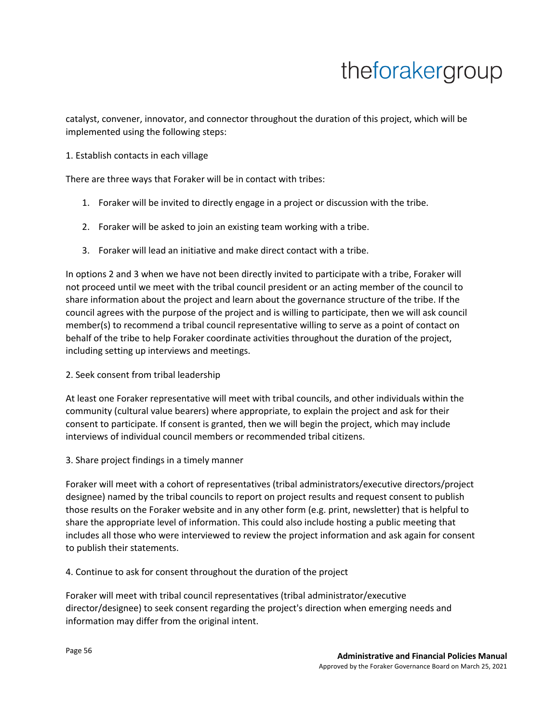catalyst, convener, innovator, and connector throughout the duration of this project, which will be implemented using the following steps:

#### 1. Establish contacts in each village

There are three ways that Foraker will be in contact with tribes:

- 1. Foraker will be invited to directly engage in a project or discussion with the tribe.
- 2. Foraker will be asked to join an existing team working with a tribe.
- 3. Foraker will lead an initiative and make direct contact with a tribe.

In options 2 and 3 when we have not been directly invited to participate with a tribe, Foraker will not proceed until we meet with the tribal council president or an acting member of the council to share information about the project and learn about the governance structure of the tribe. If the council agrees with the purpose of the project and is willing to participate, then we will ask council member(s) to recommend a tribal council representative willing to serve as a point of contact on behalf of the tribe to help Foraker coordinate activities throughout the duration of the project, including setting up interviews and meetings.

2. Seek consent from tribal leadership

At least one Foraker representative will meet with tribal councils, and other individuals within the community (cultural value bearers) where appropriate, to explain the project and ask for their consent to participate. If consent is granted, then we will begin the project, which may include interviews of individual council members or recommended tribal citizens.

3. Share project findings in a timely manner

Foraker will meet with a cohort of representatives (tribal administrators/executive directors/project designee) named by the tribal councils to report on project results and request consent to publish those results on the Foraker website and in any other form (e.g. print, newsletter) that is helpful to share the appropriate level of information. This could also include hosting a public meeting that includes all those who were interviewed to review the project information and ask again for consent to publish their statements.

4. Continue to ask for consent throughout the duration of the project

Foraker will meet with tribal council representatives (tribal administrator/executive director/designee) to seek consent regarding the project's direction when emerging needs and information may differ from the original intent.